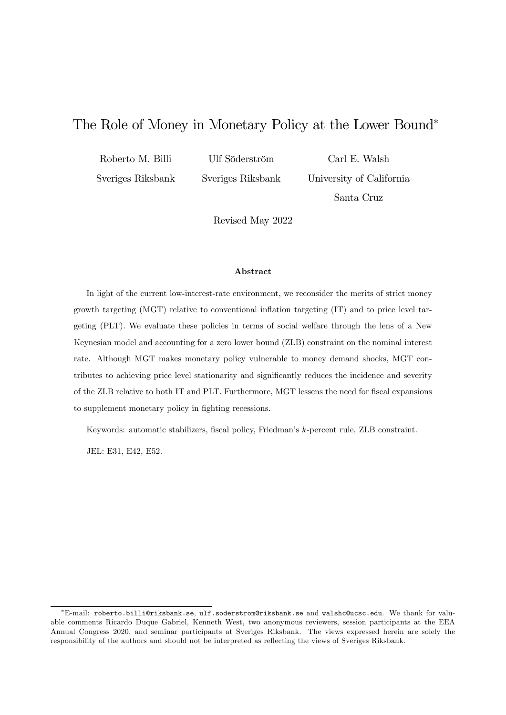# The Role of Money in Monetary Policy at the Lower Bound

Roberto M. Billi

Ulf Söderström

Sveriges Riksbank

Sveriges Riksbank

Carl E. Walsh University of California Santa Cruz

Revised May 2022

#### Abstract

In light of the current low-interest-rate environment, we reconsider the merits of strict money growth targeting (MGT) relative to conventional ináation targeting (IT) and to price level targeting (PLT). We evaluate these policies in terms of social welfare through the lens of a New Keynesian model and accounting for a zero lower bound (ZLB) constraint on the nominal interest rate. Although MGT makes monetary policy vulnerable to money demand shocks, MGT contributes to achieving price level stationarity and significantly reduces the incidence and severity of the ZLB relative to both IT and PLT. Furthermore, MGT lessens the need for fiscal expansions to supplement monetary policy in fighting recessions.

Keywords: automatic stabilizers, fiscal policy, Friedman's k-percent rule, ZLB constraint.

JEL: E31, E42, E52.

E-mail: roberto.billi@riksbank.se, ulf.soderstrom@riksbank.se and walshc@ucsc.edu. We thank for valuable comments Ricardo Duque Gabriel, Kenneth West, two anonymous reviewers, session participants at the EEA Annual Congress 2020, and seminar participants at Sveriges Riksbank. The views expressed herein are solely the responsibility of the authors and should not be interpreted as reflecting the views of Sveriges Riksbank.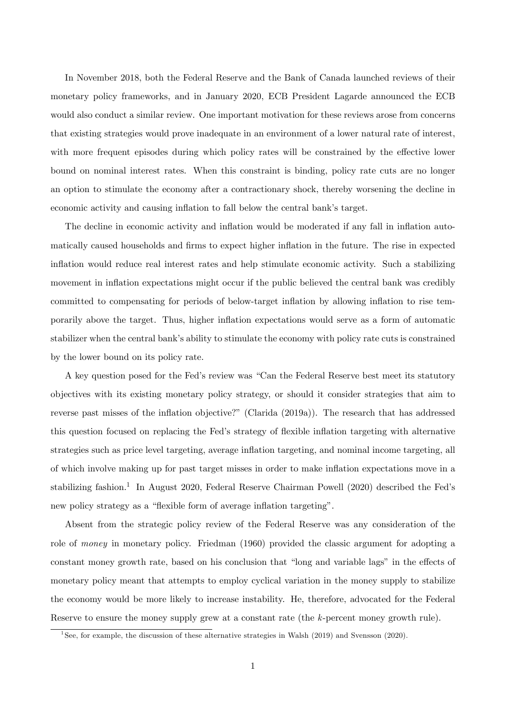In November 2018, both the Federal Reserve and the Bank of Canada launched reviews of their monetary policy frameworks, and in January 2020, ECB President Lagarde announced the ECB would also conduct a similar review. One important motivation for these reviews arose from concerns that existing strategies would prove inadequate in an environment of a lower natural rate of interest, with more frequent episodes during which policy rates will be constrained by the effective lower bound on nominal interest rates. When this constraint is binding, policy rate cuts are no longer an option to stimulate the economy after a contractionary shock, thereby worsening the decline in economic activity and causing inflation to fall below the central bank's target.

The decline in economic activity and inflation would be moderated if any fall in inflation automatically caused households and firms to expect higher inflation in the future. The rise in expected ináation would reduce real interest rates and help stimulate economic activity. Such a stabilizing movement in inflation expectations might occur if the public believed the central bank was credibly committed to compensating for periods of below-target inflation by allowing inflation to rise temporarily above the target. Thus, higher ináation expectations would serve as a form of automatic stabilizer when the central bank's ability to stimulate the economy with policy rate cuts is constrained by the lower bound on its policy rate.

A key question posed for the Fed's review was "Can the Federal Reserve best meet its statutory objectives with its existing monetary policy strategy, or should it consider strategies that aim to reverse past misses of the inflation objective?" (Clarida (2019a)). The research that has addressed this question focused on replacing the Fed's strategy of flexible inflation targeting with alternative strategies such as price level targeting, average inflation targeting, and nominal income targeting, all of which involve making up for past target misses in order to make ináation expectations move in a stabilizing fashion.<sup>1</sup> In August 2020, Federal Reserve Chairman Powell (2020) described the Fed's new policy strategy as a "flexible form of average inflation targeting".

Absent from the strategic policy review of the Federal Reserve was any consideration of the role of money in monetary policy. Friedman (1960) provided the classic argument for adopting a constant money growth rate, based on his conclusion that "long and variable lags" in the effects of monetary policy meant that attempts to employ cyclical variation in the money supply to stabilize the economy would be more likely to increase instability. He, therefore, advocated for the Federal Reserve to ensure the money supply grew at a constant rate (the k-percent money growth rule).

<sup>&</sup>lt;sup>1</sup>See, for example, the discussion of these alternative strategies in Walsh (2019) and Svensson (2020).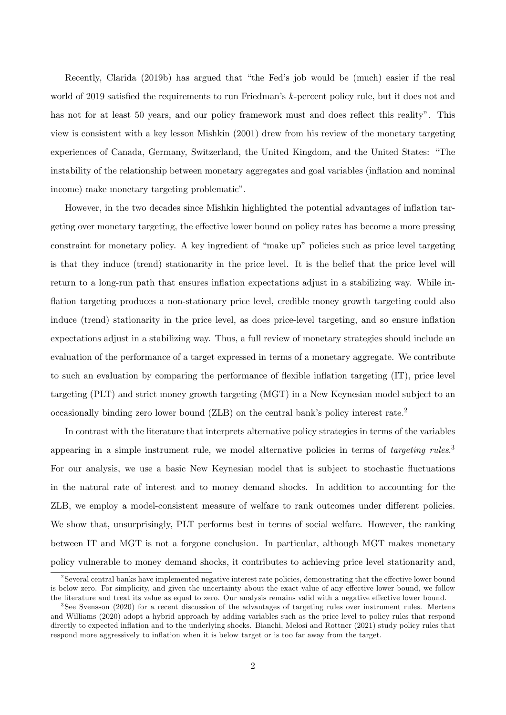Recently, Clarida (2019b) has argued that "the Fed's job would be (much) easier if the real world of 2019 satisfied the requirements to run Friedman's  $k$ -percent policy rule, but it does not and has not for at least 50 years, and our policy framework must and does reflect this reality". This view is consistent with a key lesson Mishkin (2001) drew from his review of the monetary targeting experiences of Canada, Germany, Switzerland, the United Kingdom, and the United States: "The instability of the relationship between monetary aggregates and goal variables (inflation and nominal income) make monetary targeting problematic".

However, in the two decades since Mishkin highlighted the potential advantages of inflation targeting over monetary targeting, the effective lower bound on policy rates has become a more pressing constraint for monetary policy. A key ingredient of "make up" policies such as price level targeting is that they induce (trend) stationarity in the price level. It is the belief that the price level will return to a long-run path that ensures inflation expectations adjust in a stabilizing way. While inflation targeting produces a non-stationary price level, credible money growth targeting could also induce (trend) stationarity in the price level, as does price-level targeting, and so ensure inflation expectations adjust in a stabilizing way. Thus, a full review of monetary strategies should include an evaluation of the performance of a target expressed in terms of a monetary aggregate. We contribute to such an evaluation by comparing the performance of flexible inflation targeting (IT), price level targeting (PLT) and strict money growth targeting (MGT) in a New Keynesian model subject to an occasionally binding zero lower bound  $(ZLB)$  on the central bank's policy interest rate.<sup>2</sup>

In contrast with the literature that interprets alternative policy strategies in terms of the variables appearing in a simple instrument rule, we model alternative policies in terms of targeting rules.<sup>3</sup> For our analysis, we use a basic New Keynesian model that is subject to stochastic fluctuations in the natural rate of interest and to money demand shocks. In addition to accounting for the ZLB, we employ a model-consistent measure of welfare to rank outcomes under different policies. We show that, unsurprisingly, PLT performs best in terms of social welfare. However, the ranking between IT and MGT is not a forgone conclusion. In particular, although MGT makes monetary policy vulnerable to money demand shocks, it contributes to achieving price level stationarity and,

 $2$ Several central banks have implemented negative interest rate policies, demonstrating that the effective lower bound is below zero. For simplicity, and given the uncertainty about the exact value of any effective lower bound, we follow the literature and treat its value as equal to zero. Our analysis remains valid with a negative effective lower bound.

<sup>3</sup> See Svensson (2020) for a recent discussion of the advantages of targeting rules over instrument rules. Mertens and Williams (2020) adopt a hybrid approach by adding variables such as the price level to policy rules that respond directly to expected inflation and to the underlying shocks. Bianchi, Melosi and Rottner (2021) study policy rules that respond more aggressively to inflation when it is below target or is too far away from the target.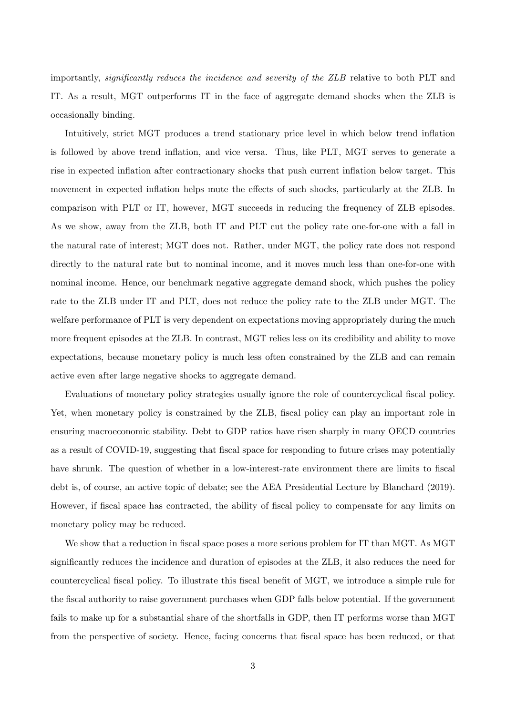importantly, *significantly reduces the incidence and severity of the ZLB* relative to both PLT and IT. As a result, MGT outperforms IT in the face of aggregate demand shocks when the ZLB is occasionally binding.

Intuitively, strict MGT produces a trend stationary price level in which below trend inflation is followed by above trend inflation, and vice versa. Thus, like PLT, MGT serves to generate a rise in expected inflation after contractionary shocks that push current inflation below target. This movement in expected inflation helps mute the effects of such shocks, particularly at the ZLB. In comparison with PLT or IT, however, MGT succeeds in reducing the frequency of ZLB episodes. As we show, away from the ZLB, both IT and PLT cut the policy rate one-for-one with a fall in the natural rate of interest; MGT does not. Rather, under MGT, the policy rate does not respond directly to the natural rate but to nominal income, and it moves much less than one-for-one with nominal income. Hence, our benchmark negative aggregate demand shock, which pushes the policy rate to the ZLB under IT and PLT, does not reduce the policy rate to the ZLB under MGT. The welfare performance of PLT is very dependent on expectations moving appropriately during the much more frequent episodes at the ZLB. In contrast, MGT relies less on its credibility and ability to move expectations, because monetary policy is much less often constrained by the ZLB and can remain active even after large negative shocks to aggregate demand.

Evaluations of monetary policy strategies usually ignore the role of countercyclical fiscal policy. Yet, when monetary policy is constrained by the ZLB, fiscal policy can play an important role in ensuring macroeconomic stability. Debt to GDP ratios have risen sharply in many OECD countries as a result of COVID-19, suggesting that fiscal space for responding to future crises may potentially have shrunk. The question of whether in a low-interest-rate environment there are limits to fiscal debt is, of course, an active topic of debate; see the AEA Presidential Lecture by Blanchard (2019). However, if fiscal space has contracted, the ability of fiscal policy to compensate for any limits on monetary policy may be reduced.

We show that a reduction in fiscal space poses a more serious problem for IT than MGT. As MGT significantly reduces the incidence and duration of episodes at the ZLB, it also reduces the need for countercyclical fiscal policy. To illustrate this fiscal benefit of MGT, we introduce a simple rule for the Öscal authority to raise government purchases when GDP falls below potential. If the government fails to make up for a substantial share of the shortfalls in GDP, then IT performs worse than MGT from the perspective of society. Hence, facing concerns that fiscal space has been reduced, or that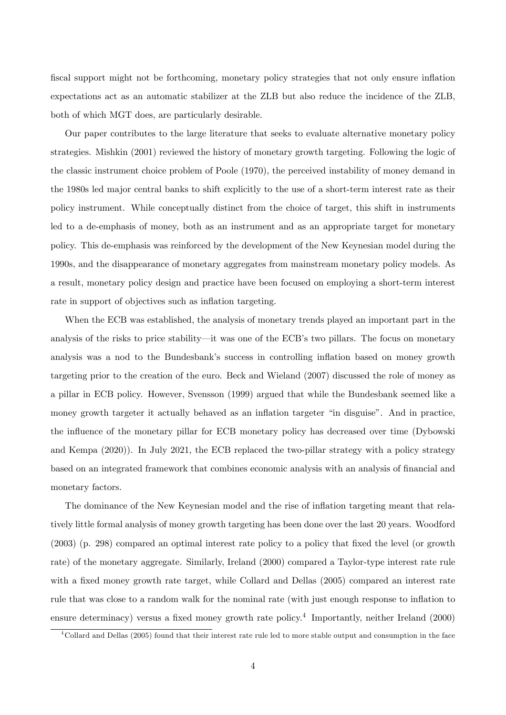fiscal support might not be forthcoming, monetary policy strategies that not only ensure inflation expectations act as an automatic stabilizer at the ZLB but also reduce the incidence of the ZLB, both of which MGT does, are particularly desirable.

Our paper contributes to the large literature that seeks to evaluate alternative monetary policy strategies. Mishkin (2001) reviewed the history of monetary growth targeting. Following the logic of the classic instrument choice problem of Poole (1970), the perceived instability of money demand in the 1980s led major central banks to shift explicitly to the use of a short-term interest rate as their policy instrument. While conceptually distinct from the choice of target, this shift in instruments led to a de-emphasis of money, both as an instrument and as an appropriate target for monetary policy. This de-emphasis was reinforced by the development of the New Keynesian model during the 1990s, and the disappearance of monetary aggregates from mainstream monetary policy models. As a result, monetary policy design and practice have been focused on employing a short-term interest rate in support of objectives such as inflation targeting.

When the ECB was established, the analysis of monetary trends played an important part in the analysis of the risks to price stability—it was one of the ECB's two pillars. The focus on monetary analysis was a nod to the Bundesbank's success in controlling inflation based on money growth targeting prior to the creation of the euro. Beck and Wieland (2007) discussed the role of money as a pillar in ECB policy. However, Svensson (1999) argued that while the Bundesbank seemed like a money growth targeter it actually behaved as an inflation targeter "in disguise". And in practice, the influence of the monetary pillar for ECB monetary policy has decreased over time (Dybowski and Kempa (2020)). In July 2021, the ECB replaced the two-pillar strategy with a policy strategy based on an integrated framework that combines economic analysis with an analysis of financial and monetary factors.

The dominance of the New Keynesian model and the rise of inflation targeting meant that relatively little formal analysis of money growth targeting has been done over the last 20 years. Woodford (2003) (p. 298) compared an optimal interest rate policy to a policy that Öxed the level (or growth rate) of the monetary aggregate. Similarly, Ireland (2000) compared a Taylor-type interest rate rule with a fixed money growth rate target, while Collard and Dellas (2005) compared an interest rate rule that was close to a random walk for the nominal rate (with just enough response to ináation to ensure determinacy) versus a fixed money growth rate policy.<sup>4</sup> Importantly, neither Ireland (2000)

<sup>4</sup>Collard and Dellas (2005) found that their interest rate rule led to more stable output and consumption in the face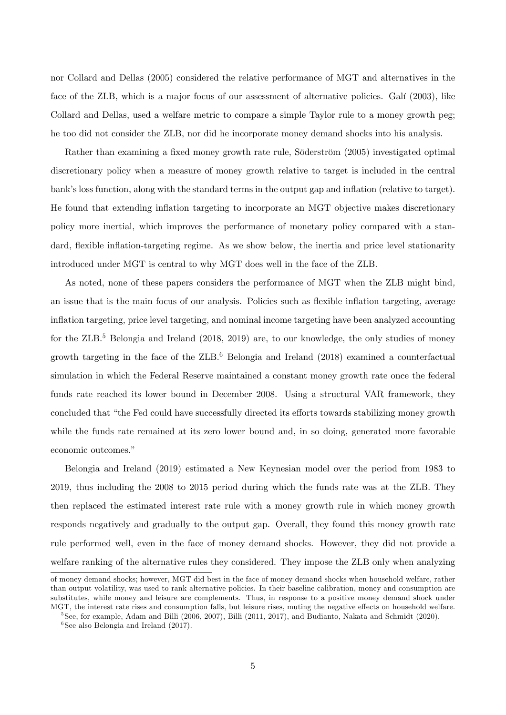nor Collard and Dellas (2005) considered the relative performance of MGT and alternatives in the face of the ZLB, which is a major focus of our assessment of alternative policies. Galí (2003), like Collard and Dellas, used a welfare metric to compare a simple Taylor rule to a money growth peg; he too did not consider the ZLB, nor did he incorporate money demand shocks into his analysis.

Rather than examining a fixed money growth rate rule, Söderström (2005) investigated optimal discretionary policy when a measure of money growth relative to target is included in the central bank's loss function, along with the standard terms in the output gap and inflation (relative to target). He found that extending inflation targeting to incorporate an MGT objective makes discretionary policy more inertial, which improves the performance of monetary policy compared with a standard, flexible inflation-targeting regime. As we show below, the inertia and price level stationarity introduced under MGT is central to why MGT does well in the face of the ZLB.

As noted, none of these papers considers the performance of MGT when the ZLB might bind, an issue that is the main focus of our analysis. Policies such as flexible inflation targeting, average ináation targeting, price level targeting, and nominal income targeting have been analyzed accounting for the  $ZLB$ <sup>5</sup> Belongia and Ireland (2018, 2019) are, to our knowledge, the only studies of money growth targeting in the face of the  $ZLB$ .<sup>6</sup> Belongia and Ireland (2018) examined a counterfactual simulation in which the Federal Reserve maintained a constant money growth rate once the federal funds rate reached its lower bound in December 2008. Using a structural VAR framework, they concluded that "the Fed could have successfully directed its efforts towards stabilizing money growth while the funds rate remained at its zero lower bound and, in so doing, generated more favorable economic outcomes."

Belongia and Ireland (2019) estimated a New Keynesian model over the period from 1983 to 2019, thus including the 2008 to 2015 period during which the funds rate was at the ZLB. They then replaced the estimated interest rate rule with a money growth rule in which money growth responds negatively and gradually to the output gap. Overall, they found this money growth rate rule performed well, even in the face of money demand shocks. However, they did not provide a welfare ranking of the alternative rules they considered. They impose the ZLB only when analyzing

of money demand shocks; however, MGT did best in the face of money demand shocks when household welfare, rather than output volatility, was used to rank alternative policies. In their baseline calibration, money and consumption are substitutes, while money and leisure are complements. Thus, in response to a positive money demand shock under MGT, the interest rate rises and consumption falls, but leisure rises, muting the negative effects on household welfare.

<sup>&</sup>lt;sup>5</sup>See, for example, Adam and Billi (2006, 2007), Billi (2011, 2017), and Budianto, Nakata and Schmidt (2020).

<sup>6</sup> See also Belongia and Ireland (2017).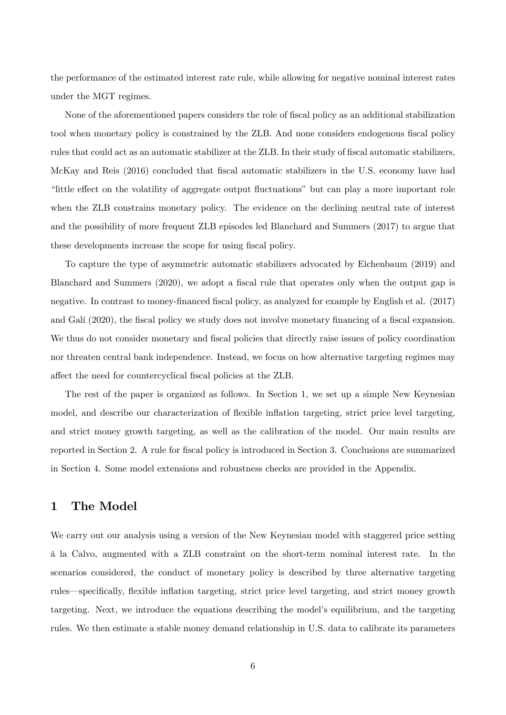the performance of the estimated interest rate rule, while allowing for negative nominal interest rates under the MGT regimes.

None of the aforementioned papers considers the role of fiscal policy as an additional stabilization tool when monetary policy is constrained by the ZLB. And none considers endogenous fiscal policy rules that could act as an automatic stabilizer at the ZLB. In their study of fiscal automatic stabilizers, McKay and Reis (2016) concluded that fiscal automatic stabilizers in the U.S. economy have had "little effect on the volatility of aggregate output fluctuations" but can play a more important role when the ZLB constrains monetary policy. The evidence on the declining neutral rate of interest and the possibility of more frequent ZLB episodes led Blanchard and Summers (2017) to argue that these developments increase the scope for using fiscal policy.

To capture the type of asymmetric automatic stabilizers advocated by Eichenbaum (2019) and Blanchard and Summers (2020), we adopt a fiscal rule that operates only when the output gap is negative. In contrast to money-financed fiscal policy, as analyzed for example by English et al. (2017) and Galí (2020), the fiscal policy we study does not involve monetary financing of a fiscal expansion. We thus do not consider monetary and fiscal policies that directly raise issues of policy coordination nor threaten central bank independence. Instead, we focus on how alternative targeting regimes may affect the need for countercyclical fiscal policies at the ZLB.

The rest of the paper is organized as follows. In Section 1, we set up a simple New Keynesian model, and describe our characterization of flexible inflation targeting, strict price level targeting, and strict money growth targeting, as well as the calibration of the model. Our main results are reported in Section 2. A rule for fiscal policy is introduced in Section 3. Conclusions are summarized in Section 4. Some model extensions and robustness checks are provided in the Appendix.

### 1 The Model

We carry out our analysis using a version of the New Keynesian model with staggered price setting ‡ la Calvo, augmented with a ZLB constraint on the short-term nominal interest rate. In the scenarios considered, the conduct of monetary policy is described by three alternative targeting rules—specifically, flexible inflation targeting, strict price level targeting, and strict money growth targeting. Next, we introduce the equations describing the modelís equilibrium, and the targeting rules. We then estimate a stable money demand relationship in U.S. data to calibrate its parameters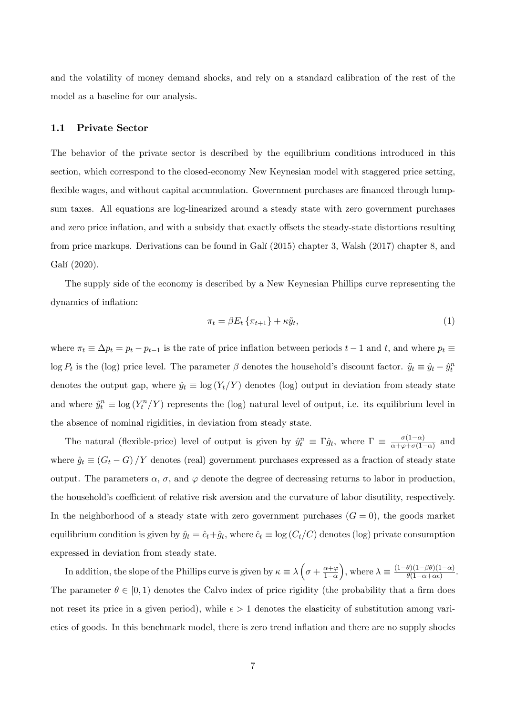and the volatility of money demand shocks, and rely on a standard calibration of the rest of the model as a baseline for our analysis.

### 1.1 Private Sector

The behavior of the private sector is described by the equilibrium conditions introduced in this section, which correspond to the closed-economy New Keynesian model with staggered price setting, flexible wages, and without capital accumulation. Government purchases are financed through lumpsum taxes. All equations are log-linearized around a steady state with zero government purchases and zero price inflation, and with a subsidy that exactly offsets the steady-state distortions resulting from price markups. Derivations can be found in Galí (2015) chapter 3, Walsh (2017) chapter 8, and Galí (2020).

The supply side of the economy is described by a New Keynesian Phillips curve representing the dynamics of inflation:

$$
\pi_t = \beta E_t \left\{ \pi_{t+1} \right\} + \kappa \tilde{y}_t,\tag{1}
$$

where  $\pi_t \equiv \Delta p_t = p_t - p_{t-1}$  is the rate of price inflation between periods  $t - 1$  and t, and where  $p_t \equiv$  $\log P_t$  is the (log) price level. The parameter  $\beta$  denotes the household's discount factor.  $\tilde{y}_t \equiv \hat{y}_t - \hat{y}_t^n$ denotes the output gap, where  $\hat{y}_t \equiv \log(Y_t/Y)$  denotes (log) output in deviation from steady state and where  $\hat{y}_t^n \equiv \log(Y_t^n/Y)$  represents the (log) natural level of output, i.e. its equilibrium level in the absence of nominal rigidities, in deviation from steady state.

The natural (flexible-price) level of output is given by  $\hat{y}_t^n \equiv \Gamma \hat{g}_t$ , where  $\Gamma \equiv \frac{\sigma(1-\alpha)}{\alpha+\varphi+\sigma(1-\alpha)}$  $\frac{\sigma(1-\alpha)}{\alpha+\varphi+\sigma(1-\alpha)}$  and where  $\hat{g}_t \equiv (G_t - G)/Y$  denotes (real) government purchases expressed as a fraction of steady state output. The parameters  $\alpha$ ,  $\sigma$ , and  $\varphi$  denote the degree of decreasing returns to labor in production, the household's coefficient of relative risk aversion and the curvature of labor disutility, respectively. In the neighborhood of a steady state with zero government purchases  $(G = 0)$ , the goods market equilibrium condition is given by  $\hat{y}_t = \hat{c}_t + \hat{g}_t$ , where  $\hat{c}_t \equiv \log (C_t/C)$  denotes (log) private consumption expressed in deviation from steady state.

In addition, the slope of the Phillips curve is given by  $\kappa \equiv \lambda \left(\sigma + \frac{\alpha + \varphi}{1 - \alpha}\right)$  $1-\alpha$ ), where  $\lambda \equiv \frac{(1-\theta)(1-\beta\theta)(1-\alpha)}{\theta(1-\alpha+\alpha\epsilon)}$  $\frac{\theta(1-\beta\theta)(1-\alpha)}{\theta(1-\alpha+\alpha\epsilon)}$ . The parameter  $\theta \in [0, 1)$  denotes the Calvo index of price rigidity (the probability that a firm does not reset its price in a given period), while  $\epsilon > 1$  denotes the elasticity of substitution among varieties of goods. In this benchmark model, there is zero trend ináation and there are no supply shocks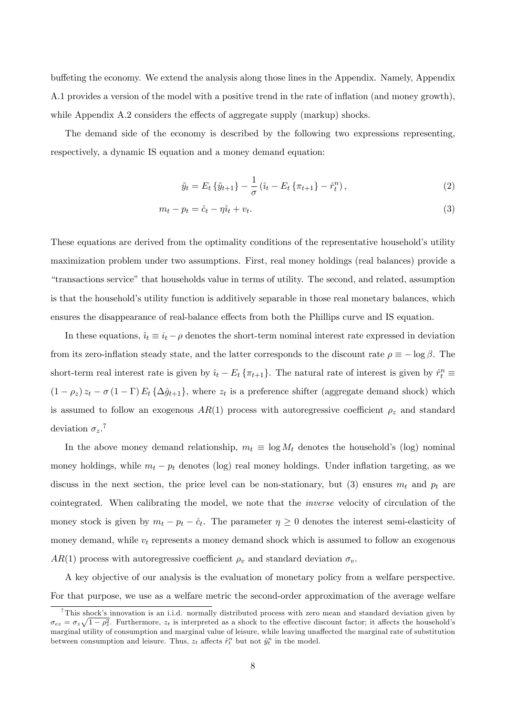buffeting the economy. We extend the analysis along those lines in the Appendix. Namely, Appendix A.1 provides a version of the model with a positive trend in the rate of inflation (and money growth), while Appendix  $A.2$  considers the effects of aggregate supply (markup) shocks.

The demand side of the economy is described by the following two expressions representing, respectively, a dynamic IS equation and a money demand equation:

$$
\tilde{y}_t = E_t \{ \tilde{y}_{t+1} \} - \frac{1}{\sigma} \left( \hat{\iota}_t - E_t \{ \pi_{t+1} \} - \hat{r}_t^n \right), \tag{2}
$$

$$
m_t - p_t = \hat{c}_t - \eta \hat{u}_t + v_t. \tag{3}
$$

These equations are derived from the optimality conditions of the representative household's utility maximization problem under two assumptions. First, real money holdings (real balances) provide a ìtransactions serviceîthat households value in terms of utility. The second, and related, assumption is that the household's utility function is additively separable in those real monetary balances, which ensures the disappearance of real-balance effects from both the Phillips curve and IS equation.

In these equations,  $\hat{i}_t \equiv i_t - \rho$  denotes the short-term nominal interest rate expressed in deviation from its zero-inflation steady state, and the latter corresponds to the discount rate  $\rho \equiv -\log \beta$ . The short-term real interest rate is given by  $\hat{i}_t - E_t \{\pi_{t+1}\}$ . The natural rate of interest is given by  $\hat{r}_t^n \equiv$  $(1 - \rho_z) z_t - \sigma (1 - \Gamma) E_t {\Delta \hat{g}_{t+1}},$  where  $z_t$  is a preference shifter (aggregate demand shock) which is assumed to follow an exogenous  $AR(1)$  process with autoregressive coefficient  $\rho_z$  and standard deviation  $\sigma_z$ .<sup>7</sup>

In the above money demand relationship,  $m_t \equiv \log M_t$  denotes the household's (log) nominal money holdings, while  $m_t - p_t$  denotes (log) real money holdings. Under inflation targeting, as we discuss in the next section, the price level can be non-stationary, but (3) ensures  $m_t$  and  $p_t$  are cointegrated. When calibrating the model, we note that the inverse velocity of circulation of the money stock is given by  $m_t - p_t - \hat{c}_t$ . The parameter  $\eta \geq 0$  denotes the interest semi-elasticity of money demand, while  $v_t$  represents a money demand shock which is assumed to follow an exogenous AR(1) process with autoregressive coefficient  $\rho_v$  and standard deviation  $\sigma_v$ .

A key objective of our analysis is the evaluation of monetary policy from a welfare perspective. For that purpose, we use as a welfare metric the second-order approximation of the average welfare

<sup>&</sup>lt;sup>7</sup>This shock's innovation is an i.i.d. normally distributed process with zero mean and standard deviation given by  $\sigma_{ez} = \sigma_z \sqrt{1-\rho_z^2}$ . Furthermore,  $z_t$  is interpreted as a shock to the effective discount factor; it affects the household's marginal utility of consumption and marginal value of leisure, while leaving unaffected the marginal rate of substitution between consumption and leisure. Thus,  $z_t$  affects  $\hat{r}_t^n$  but not  $\hat{y}_t^n$  in the model.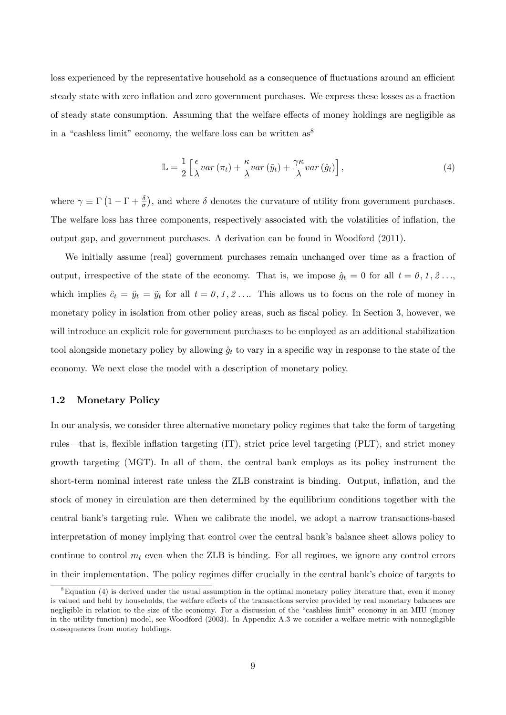loss experienced by the representative household as a consequence of fluctuations around an efficient steady state with zero inflation and zero government purchases. We express these losses as a fraction of steady state consumption. Assuming that the welfare effects of money holdings are negligible as in a "cashless limit" economy, the welfare loss can be written  $as^8$ 

$$
\mathbb{L} = \frac{1}{2} \left[ \frac{\epsilon}{\lambda} var \left( \pi_t \right) + \frac{\kappa}{\lambda} var \left( \tilde{y}_t \right) + \frac{\gamma \kappa}{\lambda} var \left( \hat{g}_t \right) \right],\tag{4}
$$

where  $\gamma \equiv \Gamma(1-\Gamma+\frac{\delta}{\sigma})$ , and where  $\delta$  denotes the curvature of utility from government purchases. The welfare loss has three components, respectively associated with the volatilities of ináation, the output gap, and government purchases. A derivation can be found in Woodford (2011).

We initially assume (real) government purchases remain unchanged over time as a fraction of output, irrespective of the state of the economy. That is, we impose  $\hat{g}_t = 0$  for all  $t = 0, 1, 2, \ldots$ which implies  $\hat{c}_t = \hat{y}_t = \tilde{y}_t$  for all  $t = 0, 1, 2 ...$  This allows us to focus on the role of money in monetary policy in isolation from other policy areas, such as fiscal policy. In Section 3, however, we will introduce an explicit role for government purchases to be employed as an additional stabilization tool alongside monetary policy by allowing  $\hat{g}_t$  to vary in a specific way in response to the state of the economy. We next close the model with a description of monetary policy.

### 1.2 Monetary Policy

In our analysis, we consider three alternative monetary policy regimes that take the form of targeting rules—that is, flexible inflation targeting (IT), strict price level targeting (PLT), and strict money growth targeting (MGT). In all of them, the central bank employs as its policy instrument the short-term nominal interest rate unless the ZLB constraint is binding. Output, inflation, and the stock of money in circulation are then determined by the equilibrium conditions together with the central bankís targeting rule. When we calibrate the model, we adopt a narrow transactions-based interpretation of money implying that control over the central bank's balance sheet allows policy to continue to control  $m_t$  even when the ZLB is binding. For all regimes, we ignore any control errors in their implementation. The policy regimes differ crucially in the central bank's choice of targets to

 ${}^8$ Equation (4) is derived under the usual assumption in the optimal monetary policy literature that, even if money is valued and held by households, the welfare effects of the transactions service provided by real monetary balances are negligible in relation to the size of the economy. For a discussion of the "cashless limit" economy in an MIU (money in the utility function) model, see Woodford (2003). In Appendix A.3 we consider a welfare metric with nonnegligible consequences from money holdings.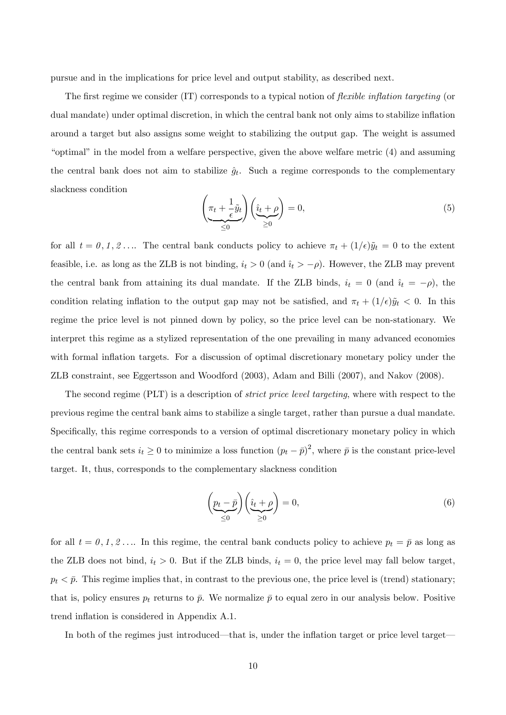pursue and in the implications for price level and output stability, as described next.

The first regime we consider  $(IT)$  corresponds to a typical notion of *flexible inflation targeting* (or dual mandate) under optimal discretion, in which the central bank not only aims to stabilize inflation around a target but also assigns some weight to stabilizing the output gap. The weight is assumed " $optimal"$  in the model from a welfare perspective, given the above welfare metric  $(4)$  and assuming the central bank does not aim to stabilize  $\hat{g}_t$ . Such a regime corresponds to the complementary slackness condition

$$
\left(\underbrace{\pi_t + \frac{1}{\epsilon}\tilde{y}_t}_{\leq 0}\right)\left(\underbrace{\hat{v}_t + \rho}_{\geq 0}\right) = 0,\tag{5}
$$

for all  $t = 0, 1, 2 \ldots$  The central bank conducts policy to achieve  $\pi_t + (1/\epsilon)\tilde{y}_t = 0$  to the extent feasible, i.e. as long as the ZLB is not binding,  $i_t > 0$  (and  $i_t > -\rho$ ). However, the ZLB may prevent the central bank from attaining its dual mandate. If the ZLB binds,  $i_t = 0$  (and  $i_t = -\rho$ ), the condition relating inflation to the output gap may not be satisfied, and  $\pi_t + (1/\epsilon)\tilde{y}_t < 0$ . In this regime the price level is not pinned down by policy, so the price level can be non-stationary. We interpret this regime as a stylized representation of the one prevailing in many advanced economies with formal inflation targets. For a discussion of optimal discretionary monetary policy under the ZLB constraint, see Eggertsson and Woodford (2003), Adam and Billi (2007), and Nakov (2008).

The second regime (PLT) is a description of *strict price level targeting*, where with respect to the previous regime the central bank aims to stabilize a single target, rather than pursue a dual mandate. Specifically, this regime corresponds to a version of optimal discretionary monetary policy in which the central bank sets  $i_t \geq 0$  to minimize a loss function  $(p_t - \bar{p})^2$ , where  $\bar{p}$  is the constant price-level target. It, thus, corresponds to the complementary slackness condition

$$
\left(\underbrace{p_t - \bar{p}}_{\leq 0}\right) \left(\underbrace{\hat{i}_t + \rho}_{\geq 0}\right) = 0,\tag{6}
$$

for all  $t = 0, 1, 2, \ldots$  In this regime, the central bank conducts policy to achieve  $p_t = \bar{p}$  as long as the ZLB does not bind,  $i_t > 0$ . But if the ZLB binds,  $i_t = 0$ , the price level may fall below target,  $p_t < \bar{p}$ . This regime implies that, in contrast to the previous one, the price level is (trend) stationary; that is, policy ensures  $p_t$  returns to  $\bar{p}$ . We normalize  $\bar{p}$  to equal zero in our analysis below. Positive trend inflation is considered in Appendix A.1.

In both of the regimes just introduced—that is, under the inflation target or price level target—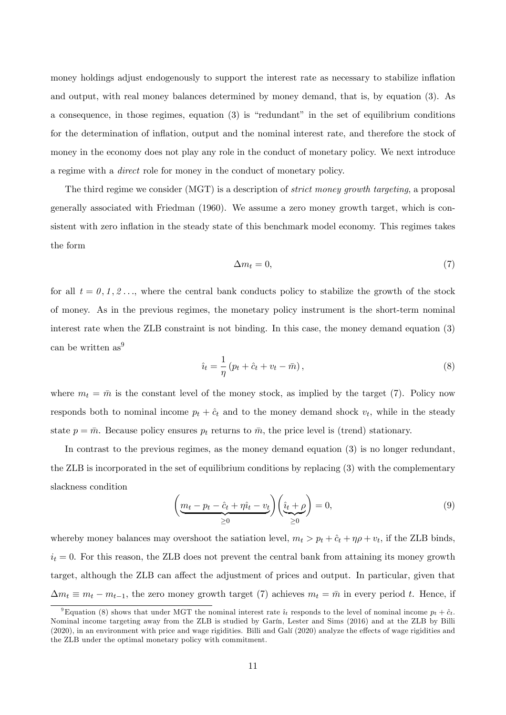money holdings adjust endogenously to support the interest rate as necessary to stabilize inflation and output, with real money balances determined by money demand, that is, by equation (3). As a consequence, in those regimes, equation  $(3)$  is "redundant" in the set of equilibrium conditions for the determination of inflation, output and the nominal interest rate, and therefore the stock of money in the economy does not play any role in the conduct of monetary policy. We next introduce a regime with a direct role for money in the conduct of monetary policy.

The third regime we consider (MGT) is a description of *strict money growth targeting*, a proposal generally associated with Friedman (1960). We assume a zero money growth target, which is consistent with zero inflation in the steady state of this benchmark model economy. This regimes takes the form

$$
\Delta m_t = 0,\t\t(7)
$$

for all  $t = 0, 1, 2, \ldots$ , where the central bank conducts policy to stabilize the growth of the stock of money. As in the previous regimes, the monetary policy instrument is the short-term nominal interest rate when the ZLB constraint is not binding. In this case, the money demand equation (3) can be written as<sup>9</sup>

$$
\hat{u}_t = \frac{1}{\eta} (p_t + \hat{c}_t + v_t - \bar{m}), \tag{8}
$$

where  $m_t = \bar{m}$  is the constant level of the money stock, as implied by the target (7). Policy now responds both to nominal income  $p_t + \hat{c}_t$  and to the money demand shock  $v_t$ , while in the steady state  $p = \bar{m}$ . Because policy ensures  $p_t$  returns to  $\bar{m}$ , the price level is (trend) stationary.

In contrast to the previous regimes, as the money demand equation (3) is no longer redundant, the ZLB is incorporated in the set of equilibrium conditions by replacing (3) with the complementary slackness condition

$$
\left(\underbrace{m_t - p_t - \hat{c}_t + \eta \hat{\imath}_t - v_t}_{\geq 0}\right) \left(\underbrace{\hat{\imath}_t + \rho}_{\geq 0}\right) = 0,\tag{9}
$$

whereby money balances may overshoot the satiation level,  $m_t > p_t + \hat{c}_t + \eta \rho + v_t$ , if the ZLB binds,  $i_t = 0$ . For this reason, the ZLB does not prevent the central bank from attaining its money growth target, although the ZLB can affect the adjustment of prices and output. In particular, given that  $\Delta m_t \equiv m_t - m_{t-1}$ , the zero money growth target (7) achieves  $m_t = \bar{m}$  in every period t. Hence, if

<sup>&</sup>lt;sup>9</sup>Equation (8) shows that under MGT the nominal interest rate  $\hat{i}_t$  responds to the level of nominal income  $p_t + \hat{c}_t$ . Nominal income targeting away from the ZLB is studied by Garín, Lester and Sims (2016) and at the ZLB by Billi  $(2020)$ , in an environment with price and wage rigidities. Billi and Galí  $(2020)$  analyze the effects of wage rigidities and the ZLB under the optimal monetary policy with commitment.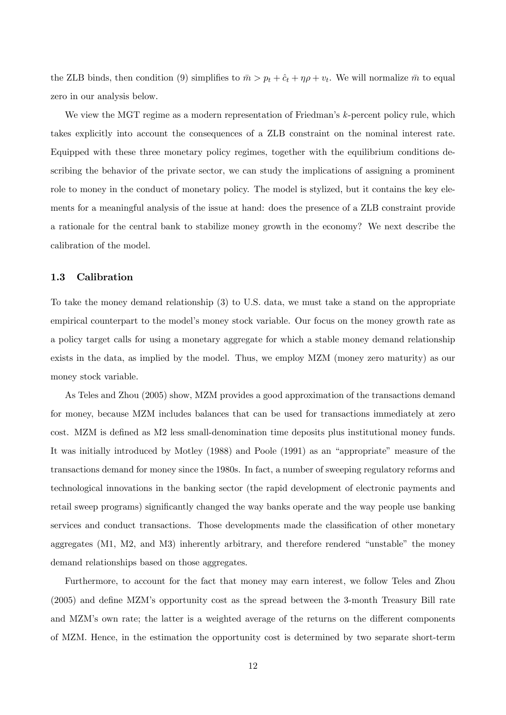the ZLB binds, then condition (9) simplifies to  $\bar{m} > p_t + \hat{c}_t + \eta \rho + v_t$ . We will normalize  $\bar{m}$  to equal zero in our analysis below.

We view the MGT regime as a modern representation of Friedman's  $k$ -percent policy rule, which takes explicitly into account the consequences of a ZLB constraint on the nominal interest rate. Equipped with these three monetary policy regimes, together with the equilibrium conditions describing the behavior of the private sector, we can study the implications of assigning a prominent role to money in the conduct of monetary policy. The model is stylized, but it contains the key elements for a meaningful analysis of the issue at hand: does the presence of a ZLB constraint provide a rationale for the central bank to stabilize money growth in the economy? We next describe the calibration of the model.

### 1.3 Calibration

To take the money demand relationship (3) to U.S. data, we must take a stand on the appropriate empirical counterpart to the modelís money stock variable. Our focus on the money growth rate as a policy target calls for using a monetary aggregate for which a stable money demand relationship exists in the data, as implied by the model. Thus, we employ MZM (money zero maturity) as our money stock variable.

As Teles and Zhou (2005) show, MZM provides a good approximation of the transactions demand for money, because MZM includes balances that can be used for transactions immediately at zero cost. MZM is defined as M2 less small-denomination time deposits plus institutional money funds. It was initially introduced by Motley (1988) and Poole (1991) as an "appropriate" measure of the transactions demand for money since the 1980s. In fact, a number of sweeping regulatory reforms and technological innovations in the banking sector (the rapid development of electronic payments and retail sweep programs) significantly changed the way banks operate and the way people use banking services and conduct transactions. Those developments made the classification of other monetary aggregates  $(M1, M2, and M3)$  inherently arbitrary, and therefore rendered "unstable" the money demand relationships based on those aggregates.

Furthermore, to account for the fact that money may earn interest, we follow Teles and Zhou  $(2005)$  and define MZM's opportunity cost as the spread between the 3-month Treasury Bill rate and MZM's own rate; the latter is a weighted average of the returns on the different components of MZM. Hence, in the estimation the opportunity cost is determined by two separate short-term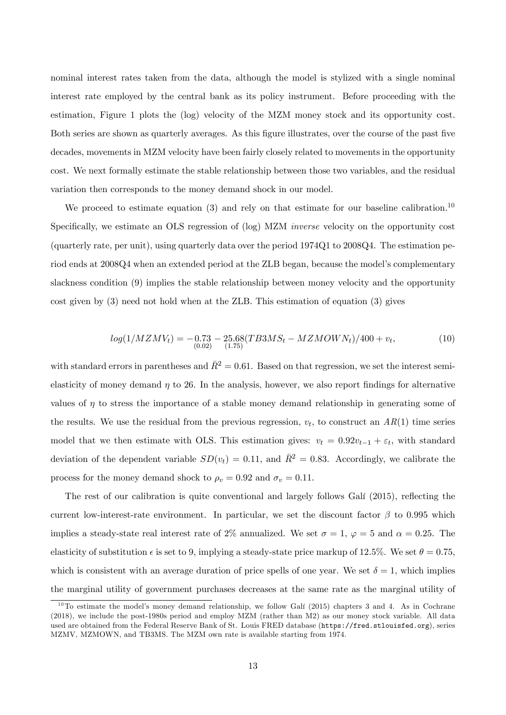nominal interest rates taken from the data, although the model is stylized with a single nominal interest rate employed by the central bank as its policy instrument. Before proceeding with the estimation, Figure 1 plots the (log) velocity of the MZM money stock and its opportunity cost. Both series are shown as quarterly averages. As this figure illustrates, over the course of the past five decades, movements in MZM velocity have been fairly closely related to movements in the opportunity cost. We next formally estimate the stable relationship between those two variables, and the residual variation then corresponds to the money demand shock in our model.

We proceed to estimate equation  $(3)$  and rely on that estimate for our baseline calibration.<sup>10</sup> Specifically, we estimate an OLS regression of (log) MZM *inverse* velocity on the opportunity cost (quarterly rate, per unit), using quarterly data over the period 1974Q1 to 2008Q4. The estimation period ends at 2008Q4 when an extended period at the ZLB began, because the model's complementary slackness condition (9) implies the stable relationship between money velocity and the opportunity cost given by (3) need not hold when at the ZLB. This estimation of equation (3) gives

$$
log(1/MZMV_t) = -0.73 - 25.68(TB3MS_t - MZMOWN_t)/400 + v_t,
$$
\n(10)

with standard errors in parentheses and  $\bar{R}^2 = 0.61$ . Based on that regression, we set the interest semielasticity of money demand  $\eta$  to 26. In the analysis, however, we also report findings for alternative values of  $\eta$  to stress the importance of a stable money demand relationship in generating some of the results. We use the residual from the previous regression,  $v_t$ , to construct an  $AR(1)$  time series model that we then estimate with OLS. This estimation gives:  $v_t = 0.92v_{t-1} + \varepsilon_t$ , with standard deviation of the dependent variable  $SD(v_t) = 0.11$ , and  $\bar{R}^2 = 0.83$ . Accordingly, we calibrate the process for the money demand shock to  $\rho_v = 0.92$  and  $\sigma_v = 0.11$ .

The rest of our calibration is quite conventional and largely follows Galí (2015), reflecting the current low-interest-rate environment. In particular, we set the discount factor  $\beta$  to 0.995 which implies a steady-state real interest rate of 2% annualized. We set  $\sigma = 1$ ,  $\varphi = 5$  and  $\alpha = 0.25$ . The elasticity of substitution  $\epsilon$  is set to 9, implying a steady-state price markup of 12.5%. We set  $\theta = 0.75$ , which is consistent with an average duration of price spells of one year. We set  $\delta = 1$ , which implies the marginal utility of government purchases decreases at the same rate as the marginal utility of

 $10$ To estimate the model's money demand relationship, we follow Galí (2015) chapters 3 and 4. As in Cochrane (2018), we include the post-1980s period and employ MZM (rather than M2) as our money stock variable. All data used are obtained from the Federal Reserve Bank of St. Louis FRED database (https://fred.stlouisfed.org), series MZMV, MZMOWN, and TB3MS. The MZM own rate is available starting from 1974.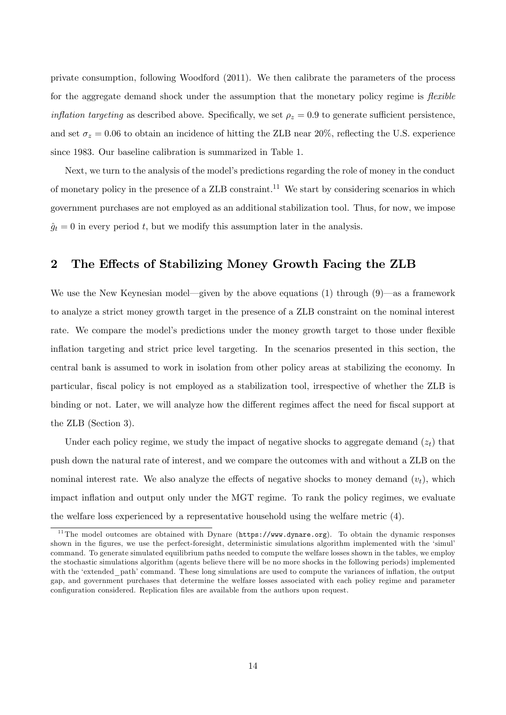private consumption, following Woodford (2011). We then calibrate the parameters of the process for the aggregate demand shock under the assumption that the monetary policy regime is *flexible inflation targeting* as described above. Specifically, we set  $\rho_z = 0.9$  to generate sufficient persistence, and set  $\sigma_z = 0.06$  to obtain an incidence of hitting the ZLB near 20%, reflecting the U.S. experience since 1983. Our baseline calibration is summarized in Table 1.

Next, we turn to the analysis of the model's predictions regarding the role of money in the conduct of monetary policy in the presence of a  $ZLB$  constraint.<sup>11</sup> We start by considering scenarios in which government purchases are not employed as an additional stabilization tool. Thus, for now, we impose  $\hat{g}_t = 0$  in every period t, but we modify this assumption later in the analysis.

### 2 The Effects of Stabilizing Money Growth Facing the ZLB

We use the New Keynesian model—given by the above equations (1) through (9)—as a framework to analyze a strict money growth target in the presence of a ZLB constraint on the nominal interest rate. We compare the model's predictions under the money growth target to those under flexible inflation targeting and strict price level targeting. In the scenarios presented in this section, the central bank is assumed to work in isolation from other policy areas at stabilizing the economy. In particular, fiscal policy is not employed as a stabilization tool, irrespective of whether the ZLB is binding or not. Later, we will analyze how the different regimes affect the need for fiscal support at the ZLB (Section 3).

Under each policy regime, we study the impact of negative shocks to aggregate demand  $(z_t)$  that push down the natural rate of interest, and we compare the outcomes with and without a ZLB on the nominal interest rate. We also analyze the effects of negative shocks to money demand  $(v_t)$ , which impact inflation and output only under the MGT regime. To rank the policy regimes, we evaluate the welfare loss experienced by a representative household using the welfare metric (4).

 $11$ The model outcomes are obtained with Dynare (https://www.dynare.org). To obtain the dynamic responses shown in the figures, we use the perfect-foresight, deterministic simulations algorithm implemented with the 'simul' command. To generate simulated equilibrium paths needed to compute the welfare losses shown in the tables, we employ the stochastic simulations algorithm (agents believe there will be no more shocks in the following periods) implemented with the 'extended path' command. These long simulations are used to compute the variances of inflation, the output gap, and government purchases that determine the welfare losses associated with each policy regime and parameter configuration considered. Replication files are available from the authors upon request.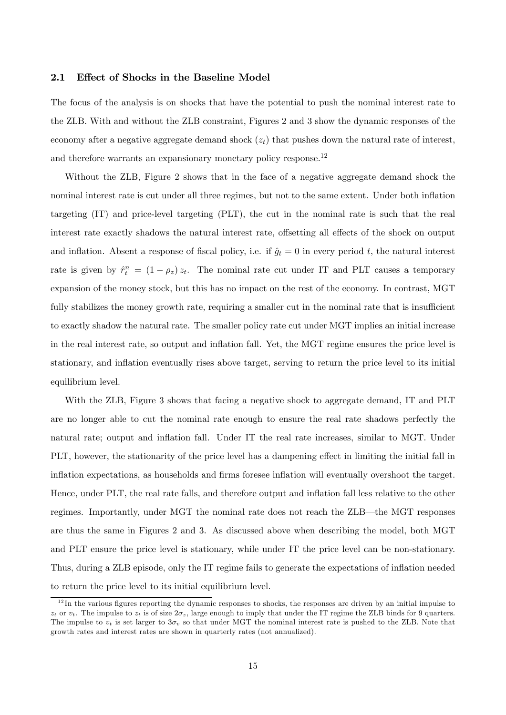#### 2.1 Effect of Shocks in the Baseline Model

The focus of the analysis is on shocks that have the potential to push the nominal interest rate to the ZLB. With and without the ZLB constraint, Figures 2 and 3 show the dynamic responses of the economy after a negative aggregate demand shock  $(z_t)$  that pushes down the natural rate of interest, and therefore warrants an expansionary monetary policy response.<sup>12</sup>

Without the ZLB, Figure 2 shows that in the face of a negative aggregate demand shock the nominal interest rate is cut under all three regimes, but not to the same extent. Under both inflation targeting (IT) and price-level targeting (PLT), the cut in the nominal rate is such that the real interest rate exactly shadows the natural interest rate, offsetting all effects of the shock on output and inflation. Absent a response of fiscal policy, i.e. if  $\hat{g}_t = 0$  in every period t, the natural interest rate is given by  $\hat{r}_t^n = (1 - \rho_z) z_t$ . The nominal rate cut under IT and PLT causes a temporary expansion of the money stock, but this has no impact on the rest of the economy. In contrast, MGT fully stabilizes the money growth rate, requiring a smaller cut in the nominal rate that is insufficient to exactly shadow the natural rate. The smaller policy rate cut under MGT implies an initial increase in the real interest rate, so output and ináation fall. Yet, the MGT regime ensures the price level is stationary, and inflation eventually rises above target, serving to return the price level to its initial equilibrium level.

With the ZLB, Figure 3 shows that facing a negative shock to aggregate demand, IT and PLT are no longer able to cut the nominal rate enough to ensure the real rate shadows perfectly the natural rate; output and inflation fall. Under IT the real rate increases, similar to MGT. Under PLT, however, the stationarity of the price level has a dampening effect in limiting the initial fall in inflation expectations, as households and firms foresee inflation will eventually overshoot the target. Hence, under PLT, the real rate falls, and therefore output and inflation fall less relative to the other regimes. Importantly, under MGT the nominal rate does not reach the ZLB—the MGT responses are thus the same in Figures 2 and 3. As discussed above when describing the model, both MGT and PLT ensure the price level is stationary, while under IT the price level can be non-stationary. Thus, during a ZLB episode, only the IT regime fails to generate the expectations of inflation needed to return the price level to its initial equilibrium level.

 $12$  In the various figures reporting the dynamic responses to shocks, the responses are driven by an initial impulse to  $z_t$  or  $v_t$ . The impulse to  $z_t$  is of size  $2\sigma_z$ , large enough to imply that under the IT regime the ZLB binds for 9 quarters. The impulse to  $v_t$  is set larger to  $3\sigma$ , so that under MGT the nominal interest rate is pushed to the ZLB. Note that growth rates and interest rates are shown in quarterly rates (not annualized).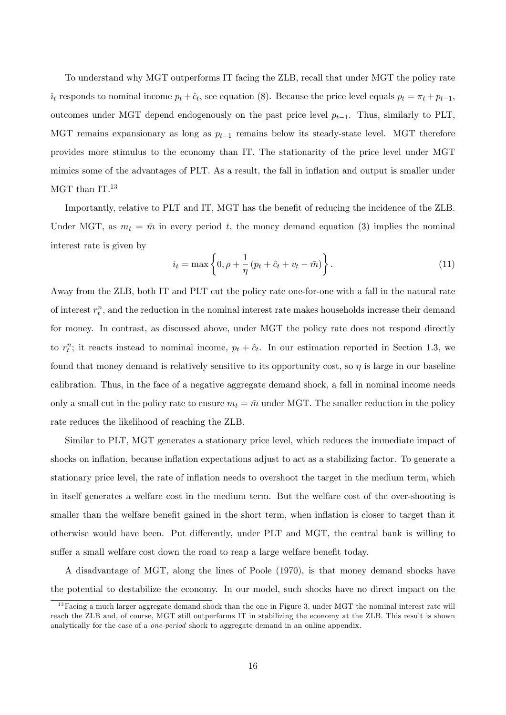To understand why MGT outperforms IT facing the ZLB, recall that under MGT the policy rate  $\hat{u}_{t}$  responds to nominal income  $p_{t} + \hat{c}_{t}$ , see equation (8). Because the price level equals  $p_{t} = \pi_{t} + p_{t-1}$ , outcomes under MGT depend endogenously on the past price level  $p_{t-1}$ . Thus, similarly to PLT, MGT remains expansionary as long as  $p_{t-1}$  remains below its steady-state level. MGT therefore provides more stimulus to the economy than IT. The stationarity of the price level under MGT mimics some of the advantages of PLT. As a result, the fall in inflation and output is smaller under MGT than  $IT.^{13}$ 

Importantly, relative to PLT and IT, MGT has the benefit of reducing the incidence of the ZLB. Under MGT, as  $m_t = \bar{m}$  in every period t, the money demand equation (3) implies the nominal interest rate is given by

$$
i_{t} = \max\left\{0, \rho + \frac{1}{\eta} \left(p_{t} + \hat{c}_{t} + v_{t} - \bar{m}\right)\right\}.
$$
 (11)

Away from the ZLB, both IT and PLT cut the policy rate one-for-one with a fall in the natural rate of interest  $r_t^n$ , and the reduction in the nominal interest rate makes households increase their demand for money. In contrast, as discussed above, under MGT the policy rate does not respond directly to  $r_t^n$ ; it reacts instead to nominal income,  $p_t + \hat{c}_t$ . In our estimation reported in Section 1.3, we found that money demand is relatively sensitive to its opportunity cost, so  $\eta$  is large in our baseline calibration. Thus, in the face of a negative aggregate demand shock, a fall in nominal income needs only a small cut in the policy rate to ensure  $m_t = \bar{m}$  under MGT. The smaller reduction in the policy rate reduces the likelihood of reaching the ZLB.

Similar to PLT, MGT generates a stationary price level, which reduces the immediate impact of shocks on inflation, because inflation expectations adjust to act as a stabilizing factor. To generate a stationary price level, the rate of inflation needs to overshoot the target in the medium term, which in itself generates a welfare cost in the medium term. But the welfare cost of the over-shooting is smaller than the welfare benefit gained in the short term, when inflation is closer to target than it otherwise would have been. Put differently, under PLT and MGT, the central bank is willing to suffer a small welfare cost down the road to reap a large welfare benefit today.

A disadvantage of MGT, along the lines of Poole (1970), is that money demand shocks have the potential to destabilize the economy. In our model, such shocks have no direct impact on the

 $13$  Facing a much larger aggregate demand shock than the one in Figure 3, under MGT the nominal interest rate will reach the ZLB and, of course, MGT still outperforms IT in stabilizing the economy at the ZLB. This result is shown analytically for the case of a one-period shock to aggregate demand in an online appendix.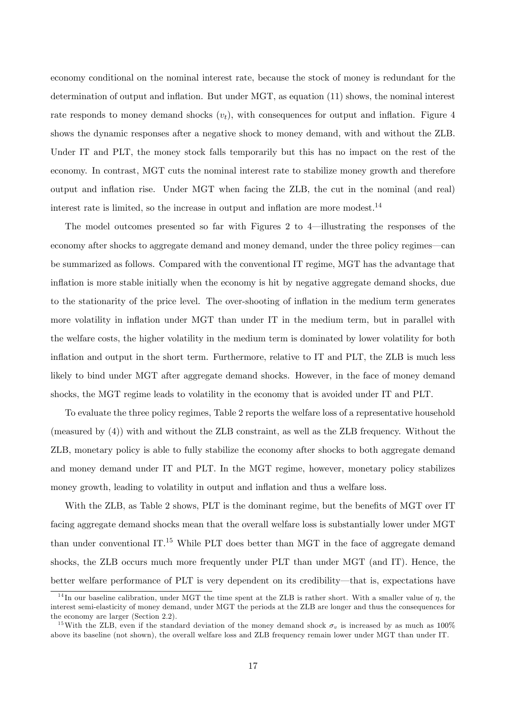economy conditional on the nominal interest rate, because the stock of money is redundant for the determination of output and inflation. But under  $MGT$ , as equation  $(11)$  shows, the nominal interest rate responds to money demand shocks  $(v_t)$ , with consequences for output and inflation. Figure 4 shows the dynamic responses after a negative shock to money demand, with and without the ZLB. Under IT and PLT, the money stock falls temporarily but this has no impact on the rest of the economy. In contrast, MGT cuts the nominal interest rate to stabilize money growth and therefore output and inflation rise. Under MGT when facing the ZLB, the cut in the nominal (and real) interest rate is limited, so the increase in output and inflation are more modest.<sup>14</sup>

The model outcomes presented so far with Figures 2 to  $4$ —illustrating the responses of the economy after shocks to aggregate demand and money demand, under the three policy regimes—can be summarized as follows. Compared with the conventional IT regime, MGT has the advantage that inflation is more stable initially when the economy is hit by negative aggregate demand shocks, due to the stationarity of the price level. The over-shooting of ináation in the medium term generates more volatility in inflation under MGT than under IT in the medium term, but in parallel with the welfare costs, the higher volatility in the medium term is dominated by lower volatility for both inflation and output in the short term. Furthermore, relative to IT and PLT, the ZLB is much less likely to bind under MGT after aggregate demand shocks. However, in the face of money demand shocks, the MGT regime leads to volatility in the economy that is avoided under IT and PLT.

To evaluate the three policy regimes, Table 2 reports the welfare loss of a representative household (measured by (4)) with and without the ZLB constraint, as well as the ZLB frequency. Without the ZLB, monetary policy is able to fully stabilize the economy after shocks to both aggregate demand and money demand under IT and PLT. In the MGT regime, however, monetary policy stabilizes money growth, leading to volatility in output and inflation and thus a welfare loss.

With the ZLB, as Table 2 shows, PLT is the dominant regime, but the benefits of MGT over IT facing aggregate demand shocks mean that the overall welfare loss is substantially lower under MGT than under conventional IT.<sup>15</sup> While PLT does better than MGT in the face of aggregate demand shocks, the ZLB occurs much more frequently under PLT than under MGT (and IT). Hence, the better welfare performance of PLT is very dependent on its credibility—that is, expectations have

<sup>&</sup>lt;sup>14</sup> In our baseline calibration, under MGT the time spent at the ZLB is rather short. With a smaller value of  $\eta$ , the interest semi-elasticity of money demand, under MGT the periods at the ZLB are longer and thus the consequences for the economy are larger (Section 2.2).

<sup>&</sup>lt;sup>15</sup>With the ZLB, even if the standard deviation of the money demand shock  $\sigma_v$  is increased by as much as 100% above its baseline (not shown), the overall welfare loss and ZLB frequency remain lower under MGT than under IT.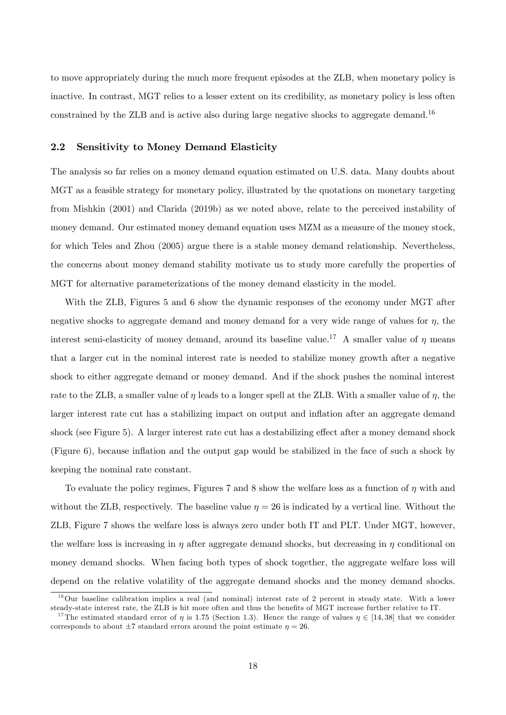to move appropriately during the much more frequent episodes at the ZLB, when monetary policy is inactive. In contrast, MGT relies to a lesser extent on its credibility, as monetary policy is less often constrained by the ZLB and is active also during large negative shocks to aggregate demand.<sup>16</sup>

### 2.2 Sensitivity to Money Demand Elasticity

The analysis so far relies on a money demand equation estimated on U.S. data. Many doubts about MGT as a feasible strategy for monetary policy, illustrated by the quotations on monetary targeting from Mishkin (2001) and Clarida (2019b) as we noted above, relate to the perceived instability of money demand. Our estimated money demand equation uses MZM as a measure of the money stock, for which Teles and Zhou (2005) argue there is a stable money demand relationship. Nevertheless, the concerns about money demand stability motivate us to study more carefully the properties of MGT for alternative parameterizations of the money demand elasticity in the model.

With the ZLB, Figures 5 and 6 show the dynamic responses of the economy under MGT after negative shocks to aggregate demand and money demand for a very wide range of values for  $\eta$ , the interest semi-elasticity of money demand, around its baseline value.<sup>17</sup> A smaller value of  $\eta$  means that a larger cut in the nominal interest rate is needed to stabilize money growth after a negative shock to either aggregate demand or money demand. And if the shock pushes the nominal interest rate to the ZLB, a smaller value of  $\eta$  leads to a longer spell at the ZLB. With a smaller value of  $\eta$ , the larger interest rate cut has a stabilizing impact on output and inflation after an aggregate demand shock (see Figure 5). A larger interest rate cut has a destabilizing effect after a money demand shock (Figure 6), because inflation and the output gap would be stabilized in the face of such a shock by keeping the nominal rate constant.

To evaluate the policy regimes, Figures 7 and 8 show the welfare loss as a function of  $\eta$  with and without the ZLB, respectively. The baseline value  $\eta = 26$  is indicated by a vertical line. Without the ZLB, Figure 7 shows the welfare loss is always zero under both IT and PLT. Under MGT, however, the welfare loss is increasing in  $\eta$  after aggregate demand shocks, but decreasing in  $\eta$  conditional on money demand shocks. When facing both types of shock together, the aggregate welfare loss will depend on the relative volatility of the aggregate demand shocks and the money demand shocks.

 $16$ Our baseline calibration implies a real (and nominal) interest rate of 2 percent in steady state. With a lower steady-state interest rate, the ZLB is hit more often and thus the benefits of MGT increase further relative to IT.

<sup>&</sup>lt;sup>17</sup>The estimated standard error of  $\eta$  is 1.75 (Section 1.3). Hence the range of values  $\eta \in [14, 38]$  that we consider corresponds to about  $\pm 7$  standard errors around the point estimate  $\eta = 26$ .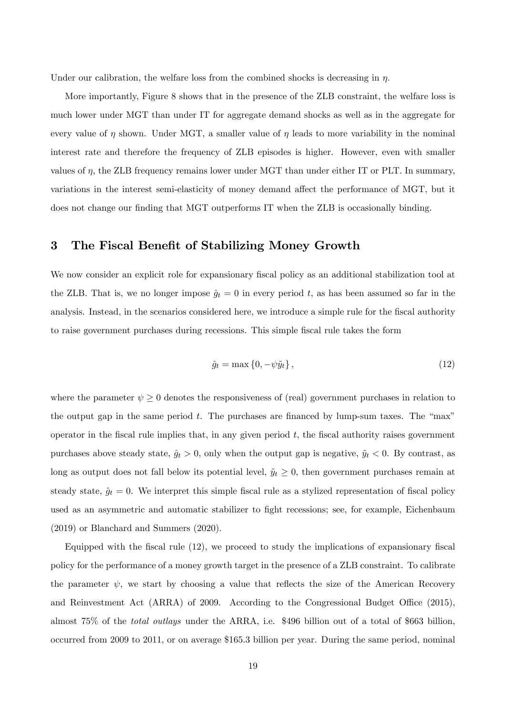Under our calibration, the welfare loss from the combined shocks is decreasing in  $\eta$ .

More importantly, Figure 8 shows that in the presence of the ZLB constraint, the welfare loss is much lower under MGT than under IT for aggregate demand shocks as well as in the aggregate for every value of  $\eta$  shown. Under MGT, a smaller value of  $\eta$  leads to more variability in the nominal interest rate and therefore the frequency of ZLB episodes is higher. However, even with smaller values of  $\eta$ , the ZLB frequency remains lower under MGT than under either IT or PLT. In summary, variations in the interest semi-elasticity of money demand affect the performance of MGT, but it does not change our finding that MGT outperforms IT when the ZLB is occasionally binding.

### 3 The Fiscal Benefit of Stabilizing Money Growth

We now consider an explicit role for expansionary fiscal policy as an additional stabilization tool at the ZLB. That is, we no longer impose  $\hat{g}_t = 0$  in every period t, as has been assumed so far in the analysis. Instead, in the scenarios considered here, we introduce a simple rule for the fiscal authority to raise government purchases during recessions. This simple fiscal rule takes the form

$$
\hat{g}_t = \max\left\{0, -\psi \tilde{y}_t\right\},\tag{12}
$$

where the parameter  $\psi \geq 0$  denotes the responsiveness of (real) government purchases in relation to the output gap in the same period  $t$ . The purchases are financed by lump-sum taxes. The "max" operator in the fiscal rule implies that, in any given period  $t$ , the fiscal authority raises government purchases above steady state,  $\hat{g}_t > 0$ , only when the output gap is negative,  $\tilde{y}_t < 0$ . By contrast, as long as output does not fall below its potential level,  $\tilde{y}_t \geq 0$ , then government purchases remain at steady state,  $\hat{g}_t = 0$ . We interpret this simple fiscal rule as a stylized representation of fiscal policy used as an asymmetric and automatic stabilizer to fight recessions; see, for example, Eichenbaum (2019) or Blanchard and Summers (2020).

Equipped with the fiscal rule  $(12)$ , we proceed to study the implications of expansionary fiscal policy for the performance of a money growth target in the presence of a ZLB constraint. To calibrate the parameter  $\psi$ , we start by choosing a value that reflects the size of the American Recovery and Reinvestment Act (ARRA) of 2009. According to the Congressional Budget Office  $(2015)$ , almost 75% of the total outlays under the ARRA, i.e. \$496 billion out of a total of \$663 billion, occurred from 2009 to 2011, or on average \$165.3 billion per year. During the same period, nominal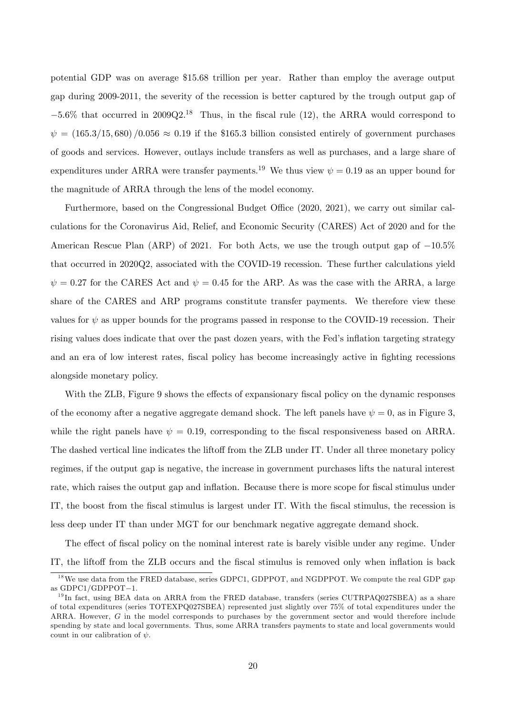potential GDP was on average \$15.68 trillion per year. Rather than employ the average output gap during 2009-2011, the severity of the recession is better captured by the trough output gap of  $-5.6\%$  that occurred in 2009Q2.<sup>18</sup> Thus, in the fiscal rule (12), the ARRA would correspond to  $\psi = (165.3/15, 680) / 0.056 \approx 0.19$  if the \$165.3 billion consisted entirely of government purchases of goods and services. However, outlays include transfers as well as purchases, and a large share of expenditures under ARRA were transfer payments.<sup>19</sup> We thus view  $\psi = 0.19$  as an upper bound for the magnitude of ARRA through the lens of the model economy.

Furthermore, based on the Congressional Budget Office (2020, 2021), we carry out similar calculations for the Coronavirus Aid, Relief, and Economic Security (CARES) Act of 2020 and for the American Rescue Plan (ARP) of 2021. For both Acts, we use the trough output gap of  $-10.5\%$ that occurred in 2020Q2, associated with the COVID-19 recession. These further calculations yield  $\psi = 0.27$  for the CARES Act and  $\psi = 0.45$  for the ARP. As was the case with the ARRA, a large share of the CARES and ARP programs constitute transfer payments. We therefore view these values for  $\psi$  as upper bounds for the programs passed in response to the COVID-19 recession. Their rising values does indicate that over the past dozen years, with the Fed's inflation targeting strategy and an era of low interest rates, fiscal policy has become increasingly active in fighting recessions alongside monetary policy.

With the ZLB, Figure 9 shows the effects of expansionary fiscal policy on the dynamic responses of the economy after a negative aggregate demand shock. The left panels have  $\psi = 0$ , as in Figure 3, while the right panels have  $\psi = 0.19$ , corresponding to the fiscal responsiveness based on ARRA. The dashed vertical line indicates the liftoff from the ZLB under IT. Under all three monetary policy regimes, if the output gap is negative, the increase in government purchases lifts the natural interest rate, which raises the output gap and inflation. Because there is more scope for fiscal stimulus under IT, the boost from the fiscal stimulus is largest under IT. With the fiscal stimulus, the recession is less deep under IT than under MGT for our benchmark negative aggregate demand shock.

The effect of fiscal policy on the nominal interest rate is barely visible under any regime. Under IT, the liftoff from the ZLB occurs and the fiscal stimulus is removed only when inflation is back

<sup>&</sup>lt;sup>18</sup>We use data from the FRED database, series GDPC1, GDPPOT, and NGDPPOT. We compute the real GDP gap as  $GDPC1/GDPPOT-1$ .

<sup>&</sup>lt;sup>19</sup> In fact, using BEA data on ARRA from the FRED database, transfers (series CUTRPAQ027SBEA) as a share of total expenditures (series TOTEXPQ027SBEA) represented just slightly over 75% of total expenditures under the ARRA. However, G in the model corresponds to purchases by the government sector and would therefore include spending by state and local governments. Thus, some ARRA transfers payments to state and local governments would count in our calibration of  $\psi$ .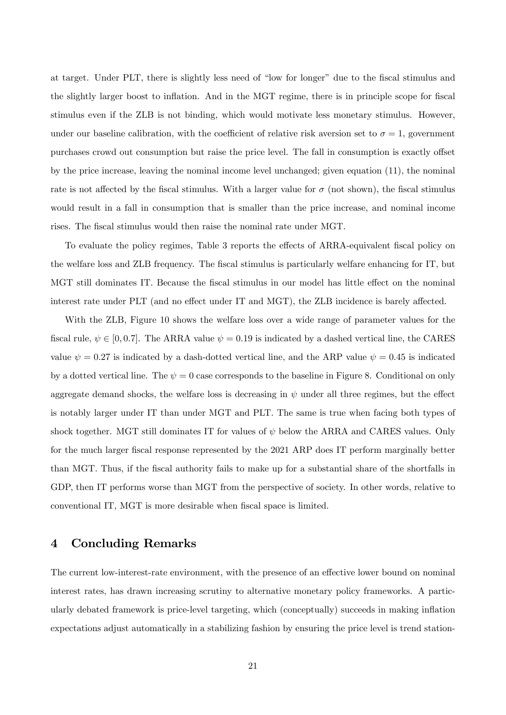at target. Under PLT, there is slightly less need of "low for longer" due to the fiscal stimulus and the slightly larger boost to inflation. And in the MGT regime, there is in principle scope for fiscal stimulus even if the ZLB is not binding, which would motivate less monetary stimulus. However, under our baseline calibration, with the coefficient of relative risk aversion set to  $\sigma = 1$ , government purchases crowd out consumption but raise the price level. The fall in consumption is exactly offset by the price increase, leaving the nominal income level unchanged; given equation (11), the nominal rate is not affected by the fiscal stimulus. With a larger value for  $\sigma$  (not shown), the fiscal stimulus would result in a fall in consumption that is smaller than the price increase, and nominal income rises. The fiscal stimulus would then raise the nominal rate under MGT.

To evaluate the policy regimes, Table 3 reports the effects of ARRA-equivalent fiscal policy on the welfare loss and ZLB frequency. The fiscal stimulus is particularly welfare enhancing for IT, but MGT still dominates IT. Because the fiscal stimulus in our model has little effect on the nominal interest rate under PLT (and no effect under IT and MGT), the ZLB incidence is barely affected.

With the ZLB, Figure 10 shows the welfare loss over a wide range of parameter values for the fiscal rule,  $\psi \in [0, 0.7]$ . The ARRA value  $\psi = 0.19$  is indicated by a dashed vertical line, the CARES value  $\psi = 0.27$  is indicated by a dash-dotted vertical line, and the ARP value  $\psi = 0.45$  is indicated by a dotted vertical line. The  $\psi = 0$  case corresponds to the baseline in Figure 8. Conditional on only aggregate demand shocks, the welfare loss is decreasing in  $\psi$  under all three regimes, but the effect is notably larger under IT than under MGT and PLT. The same is true when facing both types of shock together. MGT still dominates IT for values of  $\psi$  below the ARRA and CARES values. Only for the much larger fiscal response represented by the 2021 ARP does IT perform marginally better than MGT. Thus, if the Öscal authority fails to make up for a substantial share of the shortfalls in GDP, then IT performs worse than MGT from the perspective of society. In other words, relative to conventional IT, MGT is more desirable when fiscal space is limited.

### 4 Concluding Remarks

The current low-interest-rate environment, with the presence of an effective lower bound on nominal interest rates, has drawn increasing scrutiny to alternative monetary policy frameworks. A particularly debated framework is price-level targeting, which (conceptually) succeeds in making inflation expectations adjust automatically in a stabilizing fashion by ensuring the price level is trend station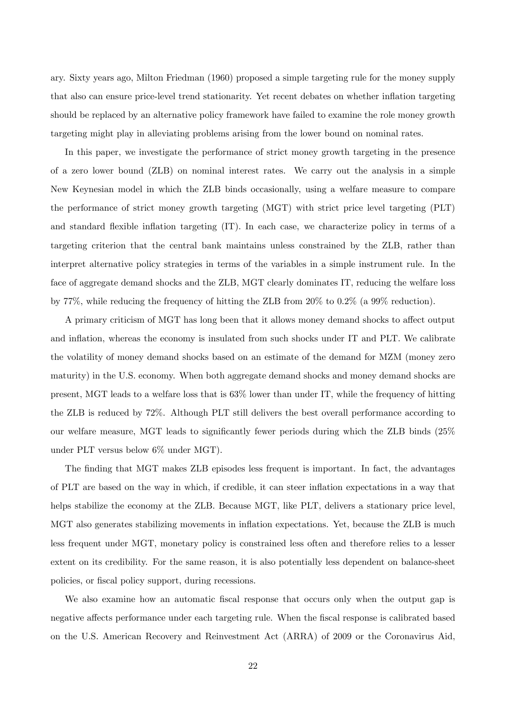ary. Sixty years ago, Milton Friedman (1960) proposed a simple targeting rule for the money supply that also can ensure price-level trend stationarity. Yet recent debates on whether ináation targeting should be replaced by an alternative policy framework have failed to examine the role money growth targeting might play in alleviating problems arising from the lower bound on nominal rates.

In this paper, we investigate the performance of strict money growth targeting in the presence of a zero lower bound (ZLB) on nominal interest rates. We carry out the analysis in a simple New Keynesian model in which the ZLB binds occasionally, using a welfare measure to compare the performance of strict money growth targeting (MGT) with strict price level targeting (PLT) and standard flexible inflation targeting (IT). In each case, we characterize policy in terms of a targeting criterion that the central bank maintains unless constrained by the ZLB, rather than interpret alternative policy strategies in terms of the variables in a simple instrument rule. In the face of aggregate demand shocks and the ZLB, MGT clearly dominates IT, reducing the welfare loss by 77%, while reducing the frequency of hitting the ZLB from 20% to 0:2% (a 99% reduction).

A primary criticism of MGT has long been that it allows money demand shocks to affect output and inflation, whereas the economy is insulated from such shocks under IT and PLT. We calibrate the volatility of money demand shocks based on an estimate of the demand for MZM (money zero maturity) in the U.S. economy. When both aggregate demand shocks and money demand shocks are present, MGT leads to a welfare loss that is 63% lower than under IT, while the frequency of hitting the ZLB is reduced by 72%. Although PLT still delivers the best overall performance according to our welfare measure, MGT leads to significantly fewer periods during which the ZLB binds  $(25\%$ under PLT versus below 6% under MGT).

The finding that MGT makes ZLB episodes less frequent is important. In fact, the advantages of PLT are based on the way in which, if credible, it can steer ináation expectations in a way that helps stabilize the economy at the ZLB. Because MGT, like PLT, delivers a stationary price level, MGT also generates stabilizing movements in inflation expectations. Yet, because the ZLB is much less frequent under MGT, monetary policy is constrained less often and therefore relies to a lesser extent on its credibility. For the same reason, it is also potentially less dependent on balance-sheet policies, or fiscal policy support, during recessions.

We also examine how an automatic fiscal response that occurs only when the output gap is negative affects performance under each targeting rule. When the fiscal response is calibrated based on the U.S. American Recovery and Reinvestment Act (ARRA) of 2009 or the Coronavirus Aid,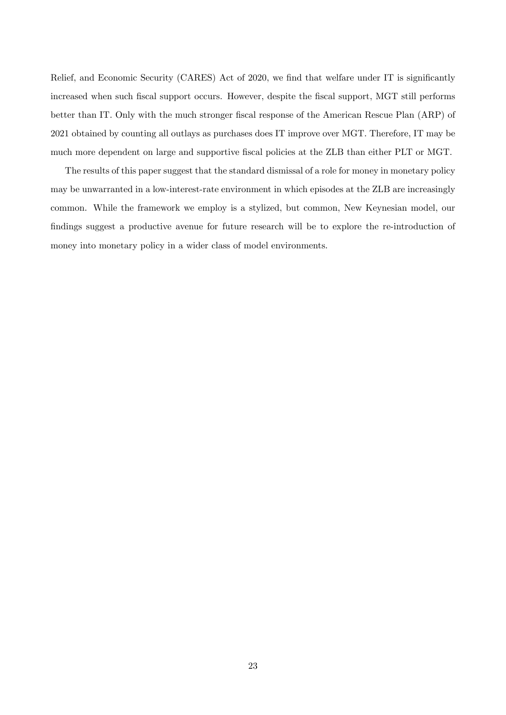Relief, and Economic Security (CARES) Act of 2020, we find that welfare under IT is significantly increased when such fiscal support occurs. However, despite the fiscal support, MGT still performs better than IT. Only with the much stronger fiscal response of the American Rescue Plan (ARP) of 2021 obtained by counting all outlays as purchases does IT improve over MGT. Therefore, IT may be much more dependent on large and supportive fiscal policies at the ZLB than either PLT or MGT.

The results of this paper suggest that the standard dismissal of a role for money in monetary policy may be unwarranted in a low-interest-rate environment in which episodes at the ZLB are increasingly common. While the framework we employ is a stylized, but common, New Keynesian model, our findings suggest a productive avenue for future research will be to explore the re-introduction of money into monetary policy in a wider class of model environments.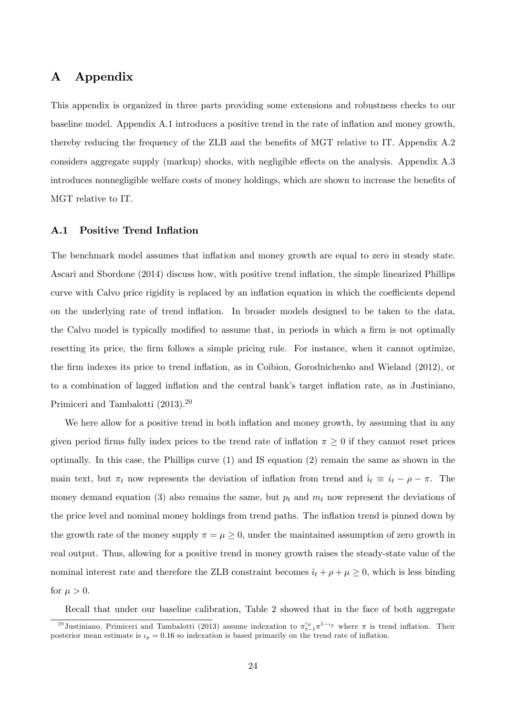## A Appendix

This appendix is organized in three parts providing some extensions and robustness checks to our baseline model. Appendix A.1 introduces a positive trend in the rate of inflation and money growth, thereby reducing the frequency of the ZLB and the benefits of MGT relative to IT. Appendix A.2 considers aggregate supply (markup) shocks, with negligible effects on the analysis. Appendix A.3 introduces nonnegligible welfare costs of money holdings, which are shown to increase the benefits of MGT relative to IT.

### A.1 Positive Trend Inflation

The benchmark model assumes that inflation and money growth are equal to zero in steady state. Ascari and Sbordone (2014) discuss how, with positive trend ináation, the simple linearized Phillips curve with Calvo price rigidity is replaced by an inflation equation in which the coefficients depend on the underlying rate of trend ináation. In broader models designed to be taken to the data, the Calvo model is typically modified to assume that, in periods in which a firm is not optimally resetting its price, the firm follows a simple pricing rule. For instance, when it cannot optimize, the firm indexes its price to trend inflation, as in Coibion, Gorodnichenko and Wieland (2012), or to a combination of lagged inflation and the central bank's target inflation rate, as in Justiniano, Primiceri and Tambalotti (2013).<sup>20</sup>

We here allow for a positive trend in both inflation and money growth, by assuming that in any given period firms fully index prices to the trend rate of inflation  $\pi \geq 0$  if they cannot reset prices optimally. In this case, the Phillips curve (1) and IS equation (2) remain the same as shown in the main text, but  $\pi_t$  now represents the deviation of inflation from trend and  $\hat{i}_t \equiv \hat{i}_t - \rho - \pi$ . The money demand equation (3) also remains the same, but  $p_t$  and  $m_t$  now represent the deviations of the price level and nominal money holdings from trend paths. The inflation trend is pinned down by the growth rate of the money supply  $\pi = \mu \geq 0$ , under the maintained assumption of zero growth in real output. Thus, allowing for a positive trend in money growth raises the steady-state value of the nominal interest rate and therefore the ZLB constraint becomes  $\hat{i}_t + \rho + \mu \geq 0$ , which is less binding for  $\mu > 0$ .

Recall that under our baseline calibration, Table 2 showed that in the face of both aggregate

<sup>&</sup>lt;sup>20</sup> Justiniano, Primiceri and Tambalotti (2013) assume indexation to  $\pi_{t-1}^{t_p} \pi^{1-t_p}$  where  $\pi$  is trend inflation. Their posterior mean estimate is  $\nu_p = 0.16$  so indexation is based primarily on the trend rate of inflation.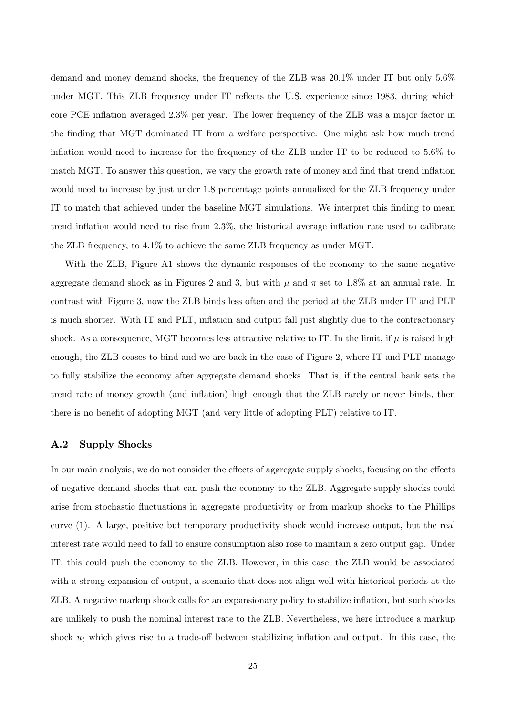demand and money demand shocks, the frequency of the ZLB was 20.1% under IT but only 5.6% under MGT. This ZLB frequency under IT reflects the U.S. experience since 1983, during which core PCE ináation averaged 2.3% per year. The lower frequency of the ZLB was a major factor in the Önding that MGT dominated IT from a welfare perspective. One might ask how much trend inflation would need to increase for the frequency of the ZLB under IT to be reduced to  $5.6\%$  to match MGT. To answer this question, we vary the growth rate of money and find that trend inflation would need to increase by just under 1.8 percentage points annualized for the ZLB frequency under IT to match that achieved under the baseline MGT simulations. We interpret this finding to mean trend inflation would need to rise from  $2.3\%$ , the historical average inflation rate used to calibrate the ZLB frequency, to 4.1% to achieve the same ZLB frequency as under MGT.

With the ZLB, Figure A1 shows the dynamic responses of the economy to the same negative aggregate demand shock as in Figures 2 and 3, but with  $\mu$  and  $\pi$  set to 1.8% at an annual rate. In contrast with Figure 3, now the ZLB binds less often and the period at the ZLB under IT and PLT is much shorter. With IT and PLT, inflation and output fall just slightly due to the contractionary shock. As a consequence, MGT becomes less attractive relative to IT. In the limit, if  $\mu$  is raised high enough, the ZLB ceases to bind and we are back in the case of Figure 2, where IT and PLT manage to fully stabilize the economy after aggregate demand shocks. That is, if the central bank sets the trend rate of money growth (and ináation) high enough that the ZLB rarely or never binds, then there is no benefit of adopting MGT (and very little of adopting PLT) relative to IT.

#### A.2 Supply Shocks

In our main analysis, we do not consider the effects of aggregate supply shocks, focusing on the effects of negative demand shocks that can push the economy to the ZLB. Aggregate supply shocks could arise from stochastic fluctuations in aggregate productivity or from markup shocks to the Phillips curve (1). A large, positive but temporary productivity shock would increase output, but the real interest rate would need to fall to ensure consumption also rose to maintain a zero output gap. Under IT, this could push the economy to the ZLB. However, in this case, the ZLB would be associated with a strong expansion of output, a scenario that does not align well with historical periods at the ZLB. A negative markup shock calls for an expansionary policy to stabilize inflation, but such shocks are unlikely to push the nominal interest rate to the ZLB. Nevertheless, we here introduce a markup shock  $u_t$  which gives rise to a trade-off between stabilizing inflation and output. In this case, the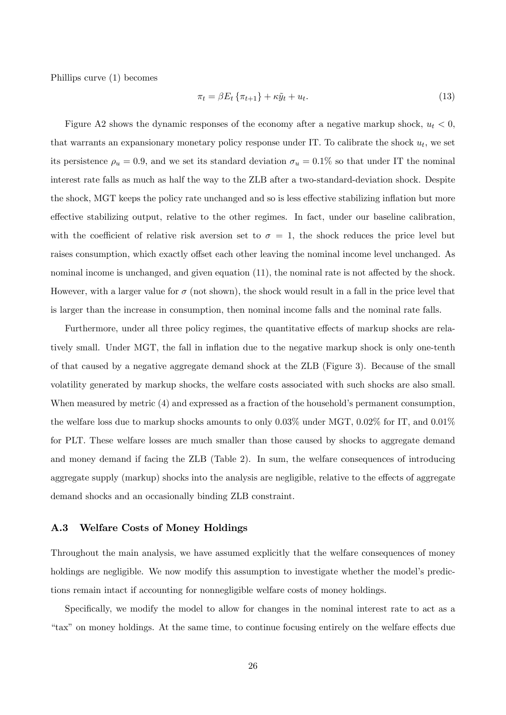Phillips curve (1) becomes

$$
\pi_t = \beta E_t \left\{ \pi_{t+1} \right\} + \kappa \tilde{y}_t + u_t. \tag{13}
$$

Figure A2 shows the dynamic responses of the economy after a negative markup shock,  $u_t < 0$ , that warrants an expansionary monetary policy response under IT. To calibrate the shock  $u_t$ , we set its persistence  $\rho_u = 0.9$ , and we set its standard deviation  $\sigma_u = 0.1\%$  so that under IT the nominal interest rate falls as much as half the way to the ZLB after a two-standard-deviation shock. Despite the shock, MGT keeps the policy rate unchanged and so is less effective stabilizing inflation but more effective stabilizing output, relative to the other regimes. In fact, under our baseline calibration, with the coefficient of relative risk aversion set to  $\sigma = 1$ , the shock reduces the price level but raises consumption, which exactly offset each other leaving the nominal income level unchanged. As nominal income is unchanged, and given equation  $(11)$ , the nominal rate is not affected by the shock. However, with a larger value for  $\sigma$  (not shown), the shock would result in a fall in the price level that is larger than the increase in consumption, then nominal income falls and the nominal rate falls.

Furthermore, under all three policy regimes, the quantitative effects of markup shocks are relatively small. Under MGT, the fall in inflation due to the negative markup shock is only one-tenth of that caused by a negative aggregate demand shock at the ZLB (Figure 3). Because of the small volatility generated by markup shocks, the welfare costs associated with such shocks are also small. When measured by metric  $(4)$  and expressed as a fraction of the household's permanent consumption, the welfare loss due to markup shocks amounts to only  $0.03\%$  under MGT,  $0.02\%$  for IT, and  $0.01\%$ for PLT. These welfare losses are much smaller than those caused by shocks to aggregate demand and money demand if facing the ZLB (Table 2). In sum, the welfare consequences of introducing aggregate supply (markup) shocks into the analysis are negligible, relative to the effects of aggregate demand shocks and an occasionally binding ZLB constraint.

#### A.3 Welfare Costs of Money Holdings

Throughout the main analysis, we have assumed explicitly that the welfare consequences of money holdings are negligible. We now modify this assumption to investigate whether the model's predictions remain intact if accounting for nonnegligible welfare costs of money holdings.

Specifically, we modify the model to allow for changes in the nominal interest rate to act as a ìtaxîon money holdings. At the same time, to continue focusing entirely on the welfare e§ects due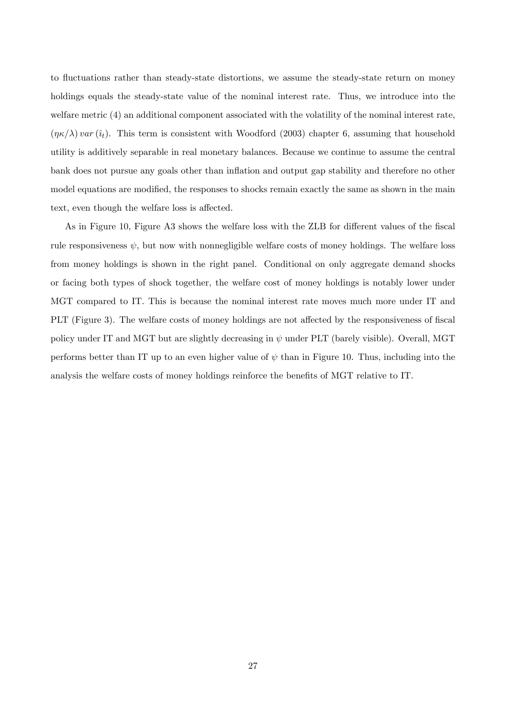to fluctuations rather than steady-state distortions, we assume the steady-state return on money holdings equals the steady-state value of the nominal interest rate. Thus, we introduce into the welfare metric (4) an additional component associated with the volatility of the nominal interest rate,  $(\eta \kappa/\lambda)$  var  $(\hat{i}_{t})$ . This term is consistent with Woodford (2003) chapter 6, assuming that household utility is additively separable in real monetary balances. Because we continue to assume the central bank does not pursue any goals other than ináation and output gap stability and therefore no other model equations are modified, the responses to shocks remain exactly the same as shown in the main text, even though the welfare loss is affected.

As in Figure 10, Figure A3 shows the welfare loss with the ZLB for different values of the fiscal rule responsiveness  $\psi$ , but now with nonnegligible welfare costs of money holdings. The welfare loss from money holdings is shown in the right panel. Conditional on only aggregate demand shocks or facing both types of shock together, the welfare cost of money holdings is notably lower under MGT compared to IT. This is because the nominal interest rate moves much more under IT and PLT (Figure 3). The welfare costs of money holdings are not affected by the responsiveness of fiscal policy under IT and MGT but are slightly decreasing in  $\psi$  under PLT (barely visible). Overall, MGT performs better than IT up to an even higher value of  $\psi$  than in Figure 10. Thus, including into the analysis the welfare costs of money holdings reinforce the benefits of MGT relative to IT.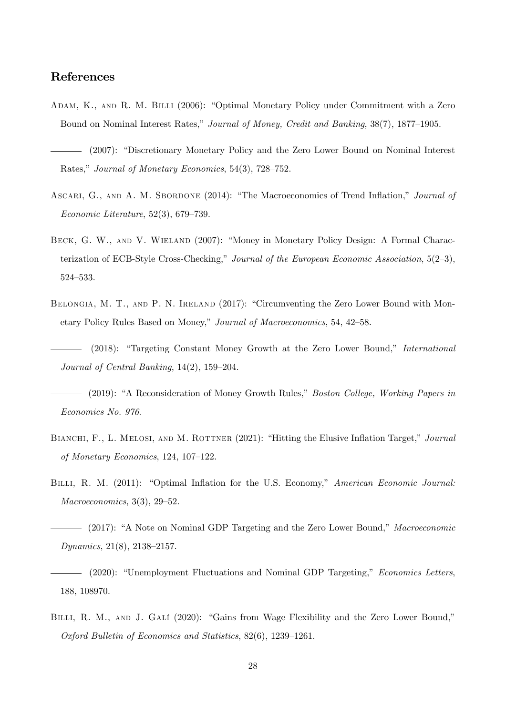### References

- ADAM, K., AND R. M. BILLI (2006): "Optimal Monetary Policy under Commitment with a Zero Bound on Nominal Interest Rates," Journal of Money, Credit and Banking, 38(7), 1877-1905.
- (2007): "Discretionary Monetary Policy and the Zero Lower Bound on Nominal Interest Rates," Journal of Monetary Economics, 54(3), 728–752.
- ASCARI, G., AND A. M. SBORDONE (2014): "The Macroeconomics of Trend Inflation," Journal of Economic Literature,  $52(3)$ ,  $679-739$ .
- BECK, G. W., AND V. WIELAND (2007): "Money in Monetary Policy Design: A Formal Characterization of ECB-Style Cross-Checking," Journal of the European Economic Association,  $5(2-3)$ , 524-533.
- BELONGIA, M. T., AND P. N. IRELAND (2017): "Circumventing the Zero Lower Bound with Monetary Policy Rules Based on Money," Journal of Macroeconomics, 54, 42–58.
- $(2018)$ : "Targeting Constant Money Growth at the Zero Lower Bound," International Journal of Central Banking,  $14(2)$ ,  $159-204$ .
- (2019): "A Reconsideration of Money Growth Rules," *Boston College, Working Papers in* Economics No. 976.
- BIANCHI, F., L. MELOSI, AND M. ROTTNER (2021): "Hitting the Elusive Inflation Target," Journal of Monetary Economics,  $124$ ,  $107-122$ .
- BILLI, R. M. (2011): "Optimal Inflation for the U.S. Economy," American Economic Journal:  $Macroeconomics, 3(3), 29-52.$
- $-$  (2017): "A Note on Nominal GDP Targeting and the Zero Lower Bound," Macroeconomic Dynamics,  $21(8)$ ,  $2138-2157$ .
- $-$  (2020): "Unemployment Fluctuations and Nominal GDP Targeting," Economics Letters, 188, 108970.
- BILLI, R. M., AND J. GALÍ (2020): "Gains from Wage Flexibility and the Zero Lower Bound," Oxford Bulletin of Economics and Statistics,  $82(6)$ ,  $1239-1261$ .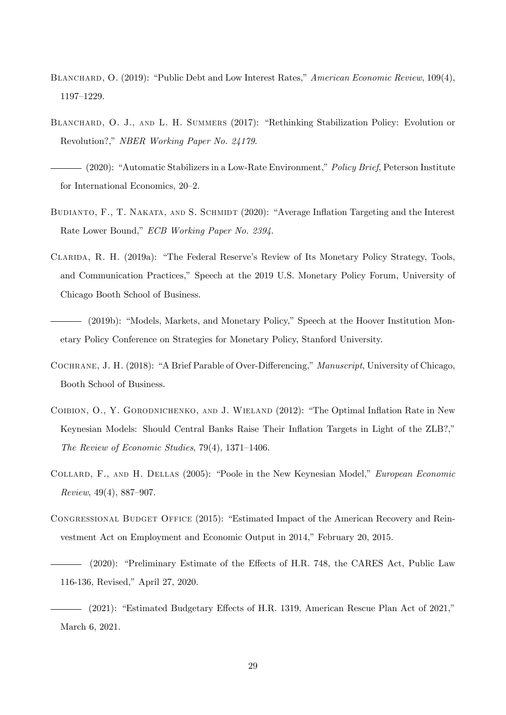- BLANCHARD, O. (2019): "Public Debt and Low Interest Rates," American Economic Review, 109(4), 1197-1229.
- BLANCHARD, O. J., AND L. H. SUMMERS (2017): "Rethinking Stabilization Policy: Evolution or Revolution?," NBER Working Paper No. 24179.

 $-$  (2020): "Automatic Stabilizers in a Low-Rate Environment," *Policy Brief*, Peterson Institute for International Economics,  $20-2$ .

- BUDIANTO, F., T. NAKATA, AND S. SCHMIDT (2020): "Average Inflation Targeting and the Interest Rate Lower Bound," ECB Working Paper No. 2394.
- CLARIDA, R. H. (2019a): "The Federal Reserve's Review of Its Monetary Policy Strategy, Tools, and Communication Practices," Speech at the 2019 U.S. Monetary Policy Forum, University of Chicago Booth School of Business.
- $-$  (2019b): "Models, Markets, and Monetary Policy," Speech at the Hoover Institution Monetary Policy Conference on Strategies for Monetary Policy, Stanford University.
- COCHRANE, J. H. (2018): "A Brief Parable of Over-Differencing," Manuscript, University of Chicago, Booth School of Business.
- COIBION, O., Y. GORODNICHENKO, AND J. WIELAND (2012): "The Optimal Inflation Rate in New Keynesian Models: Should Central Banks Raise Their Inflation Targets in Light of the ZLB?," The Review of Economic Studies,  $79(4)$ ,  $1371-1406$ .
- COLLARD, F., AND H. DELLAS (2005): "Poole in the New Keynesian Model," European Economic  $Review, 49(4), 887-907.$
- CONGRESSIONAL BUDGET OFFICE (2015): "Estimated Impact of the American Recovery and Reinvestment Act on Employment and Economic Output in 2014," February 20, 2015.

<sup>– (2020): &</sup>quot;Preliminary Estimate of the Effects of H.R. 748, the CARES Act, Public Law 116-136, Revised," April 27, 2020.

 $-$  (2021): "Estimated Budgetary Effects of H.R. 1319, American Rescue Plan Act of 2021," March 6, 2021.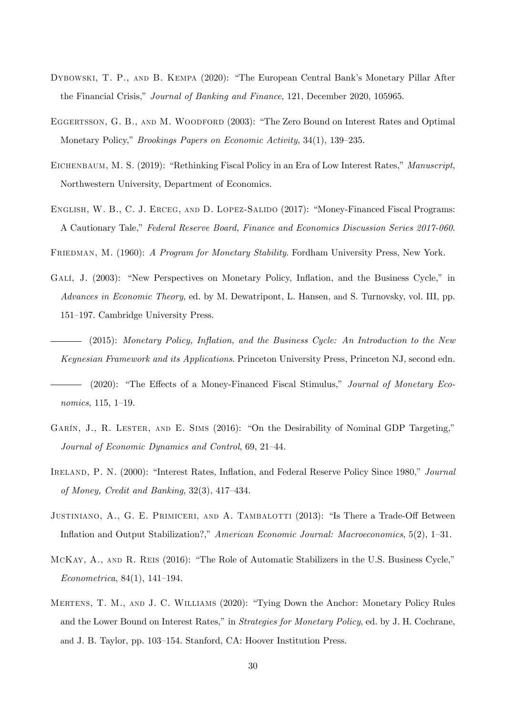- DYBOWSKI, T. P., AND B. KEMPA (2020): "The European Central Bank's Monetary Pillar After the Financial Crisis," Journal of Banking and Finance, 121, December 2020, 105965.
- EGGERTSSON, G. B., AND M. WOODFORD (2003): "The Zero Bound on Interest Rates and Optimal Monetary Policy," *Brookings Papers on Economic Activity*, 34(1), 139–235.
- EICHENBAUM, M. S. (2019): "Rethinking Fiscal Policy in an Era of Low Interest Rates," Manuscript, Northwestern University, Department of Economics.
- ENGLISH, W. B., C. J. ERCEG, AND D. LOPEZ-SALIDO (2017): "Money-Financed Fiscal Programs: A Cautionary Tale," Federal Reserve Board, Finance and Economics Discussion Series 2017-060.

FRIEDMAN, M. (1960): A Program for Monetary Stability. Fordham University Press, New York.

- GALÍ, J. (2003): "New Perspectives on Monetary Policy, Inflation, and the Business Cycle," in Advances in Economic Theory, ed. by M. Dewatripont, L. Hansen, and S. Turnovsky, vol. III, pp. 151–197. Cambridge University Press.
	- $-$  (2015): Monetary Policy, Inflation, and the Business Cycle: An Introduction to the New Keynesian Framework and its Applications. Princeton University Press, Princeton NJ, second edn.
- (2020): "The Effects of a Money-Financed Fiscal Stimulus," Journal of Monetary Economics,  $115, 1-19.$
- GARÍN, J., R. LESTER, AND E. SIMS  $(2016)$ : "On the Desirability of Nominal GDP Targeting," Journal of Economic Dynamics and Control, 69, 21–44.
- IRELAND, P. N. (2000): "Interest Rates, Inflation, and Federal Reserve Policy Since 1980," Journal of Money, Credit and Banking,  $32(3)$ ,  $417-434$ .
- JUSTINIANO, A., G. E. PRIMICERI, AND A. TAMBALOTTI (2013): "Is There a Trade-Off Between Inflation and Output Stabilization?," American Economic Journal: Macroeconomics, 5(2), 1–31.
- MCKAY, A., AND R. REIS (2016): "The Role of Automatic Stabilizers in the U.S. Business Cycle,"  $Econometrica, 84(1), 141-194.$
- MERTENS, T. M., AND J. C. WILLIAMS (2020): "Tying Down the Anchor: Monetary Policy Rules and the Lower Bound on Interest Rates," in Strategies for Monetary Policy, ed. by J. H. Cochrane, and J. B. Taylor, pp. 103–154. Stanford, CA: Hoover Institution Press.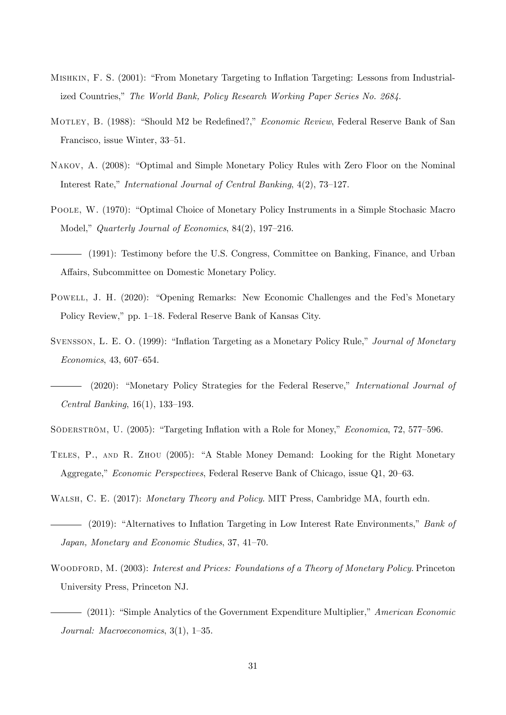- MISHKIN, F. S. (2001): "From Monetary Targeting to Inflation Targeting: Lessons from Industrialized Countries," The World Bank, Policy Research Working Paper Series No. 2684.
- MOTLEY, B. (1988): "Should M2 be Redefined?," *Economic Review*, Federal Reserve Bank of San Francisco, issue Winter, 33–51.
- NAKOV, A. (2008): "Optimal and Simple Monetary Policy Rules with Zero Floor on the Nominal Interest Rate," International Journal of Central Banking,  $4(2)$ , 73–127.
- POOLE, W. (1970): "Optimal Choice of Monetary Policy Instruments in a Simple Stochasic Macro Model," Quarterly Journal of Economics, 84(2), 197–216.
- (1991): Testimony before the U.S. Congress, Committee on Banking, Finance, and Urban Affairs, Subcommittee on Domestic Monetary Policy.
- POWELL, J. H. (2020): "Opening Remarks: New Economic Challenges and the Fed's Monetary Policy Review," pp. 1–18. Federal Reserve Bank of Kansas City.
- SVENSSON, L. E. O. (1999): "Inflation Targeting as a Monetary Policy Rule," Journal of Monetary  $Economics, 43, 607–654.$
- $(2020)$ : "Monetary Policy Strategies for the Federal Reserve," *International Journal of* Central Banking,  $16(1)$ ,  $133-193$ .
- SÖDERSTRÖM, U. (2005): "Targeting Inflation with a Role for Money," *Economica*, 72, 577–596.
- TELES, P., AND R. ZHOU (2005): "A Stable Money Demand: Looking for the Right Monetary Aggregate," Economic Perspectives, Federal Reserve Bank of Chicago, issue Q1, 20–63.
- WALSH, C. E. (2017): *Monetary Theory and Policy.* MIT Press, Cambridge MA, fourth edn.
- (2019): "Alternatives to Inflation Targeting in Low Interest Rate Environments," Bank of Japan, Monetary and Economic Studies, 37, 41-70.
- WOODFORD, M. (2003): Interest and Prices: Foundations of a Theory of Monetary Policy. Princeton University Press, Princeton NJ.
- $-$  (2011): "Simple Analytics of the Government Expenditure Multiplier," American Economic Journal: Macroeconomics,  $3(1)$ ,  $1-35$ .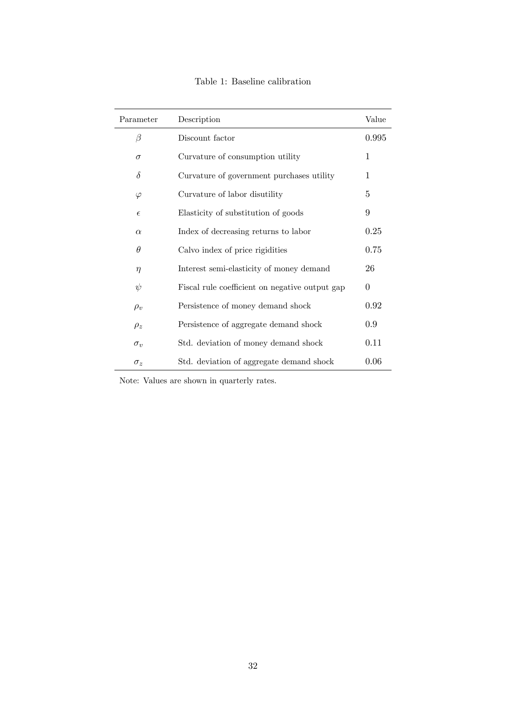| Table 1: Baseline calibration |
|-------------------------------|
|-------------------------------|

| Parameter  | Description                                    | Value    |
|------------|------------------------------------------------|----------|
| β          | Discount factor                                | 0.995    |
| $\sigma$   | Curvature of consumption utility               | 1        |
| $\delta$   | Curvature of government purchases utility      | 1        |
| $\varphi$  | Curvature of labor disutility                  | 5        |
| $\epsilon$ | Elasticity of substitution of goods            | 9        |
| $\alpha$   | Index of decreasing returns to labor           | 0.25     |
| $\theta$   | Calvo index of price rigidities                | 0.75     |
| $\eta$     | Interest semi-elasticity of money demand       | 26       |
| $\psi$     | Fiscal rule coefficient on negative output gap | $\Omega$ |
| $\rho_v$   | Persistence of money demand shock              | 0.92     |
| $\rho_z$   | Persistence of aggregate demand shock          | 0.9      |
| $\sigma_v$ | Std. deviation of money demand shock           | 0.11     |
| $\sigma_z$ | Std. deviation of aggregate demand shock       | 0.06     |

Note: Values are shown in quarterly rates.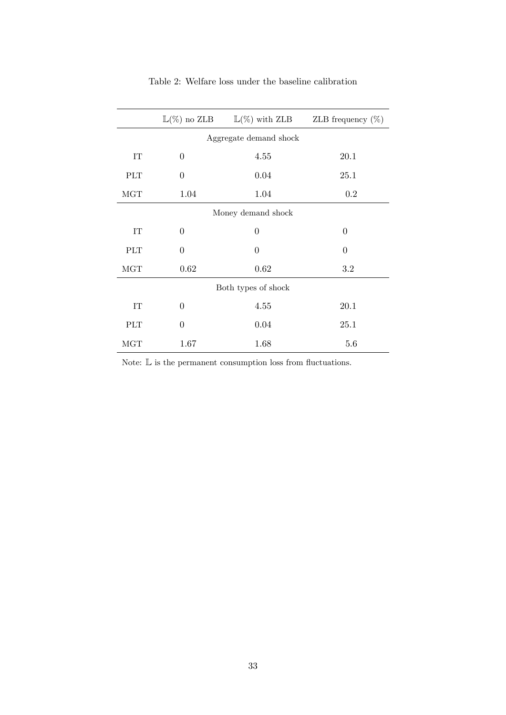|                          | $\mathbb{L}(\%)$ no ZLB<br>$\mathbb{L}(\%)$ with ZLB |                | ZLB frequency $(\%)$ |  |  |  |
|--------------------------|------------------------------------------------------|----------------|----------------------|--|--|--|
| Aggregate demand shock   |                                                      |                |                      |  |  |  |
| IT                       | $\theta$                                             | 4.55           | 20.1                 |  |  |  |
| <b>PLT</b>               | $\theta$                                             | 0.04           | 25.1                 |  |  |  |
| MGT                      | 1.04                                                 | 1.04           | 0.2                  |  |  |  |
| Money demand shock       |                                                      |                |                      |  |  |  |
| $\ensuremath{\text{IT}}$ | $\theta$                                             | $\theta$       | $\theta$             |  |  |  |
| PLT                      | $\theta$                                             | $\overline{0}$ | $\theta$             |  |  |  |
| MGT                      | 0.62                                                 | 0.62           | 3.2                  |  |  |  |
| Both types of shock      |                                                      |                |                      |  |  |  |
| IT                       | $\theta$                                             | 4.55           | 20.1                 |  |  |  |
| PLT                      | $\theta$                                             | 0.04           | 25.1                 |  |  |  |
| <b>MGT</b>               | 1.67                                                 | 1.68           | 5.6                  |  |  |  |

### Table 2: Welfare loss under the baseline calibration

Note:  $\mathbb L$  is the permanent consumption loss from fluctuations.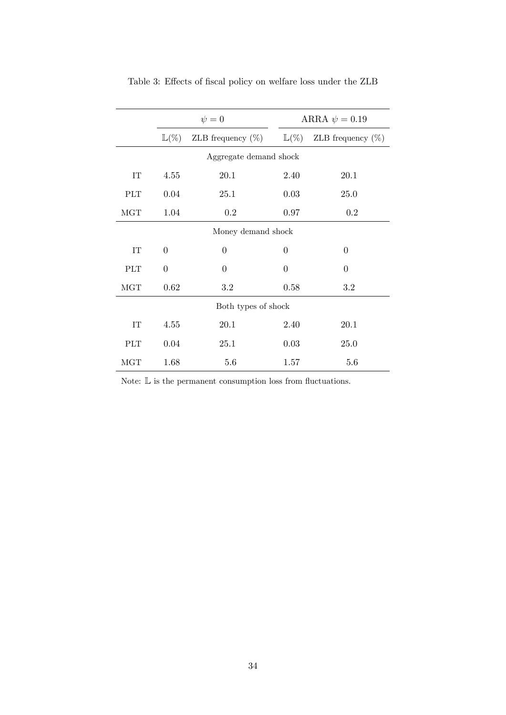|                          | $\psi = 0$       |                      | ARRA $\psi = 0.19$ |                      |  |  |
|--------------------------|------------------|----------------------|--------------------|----------------------|--|--|
|                          | $\mathbb{L}(\%)$ | ZLB frequency $(\%)$ | $\mathbb{L}(\%)$   | ZLB frequency $(\%)$ |  |  |
| Aggregate demand shock   |                  |                      |                    |                      |  |  |
| $\ensuremath{\text{IT}}$ | 4.55             | 20.1                 | 2.40               | 20.1                 |  |  |
| <b>PLT</b>               | 0.04             | 25.1                 | 0.03               | <b>25.0</b>          |  |  |
| MGT                      | 1.04             | 0.2                  | 0.97               | 0.2                  |  |  |
| Money demand shock       |                  |                      |                    |                      |  |  |
| <b>IT</b>                | $\theta$         | $\theta$             | $\theta$           | $\theta$             |  |  |
| <b>PLT</b>               | $\overline{0}$   | $\theta$             | $\overline{0}$     | $\theta$             |  |  |
| $_{\rm MGT}$             | 0.62             | 3.2                  | 0.58               | 3.2                  |  |  |
| Both types of shock      |                  |                      |                    |                      |  |  |
| IT                       | 4.55             | 20.1                 | 2.40               | 20.1                 |  |  |
| <b>PLT</b>               | 0.04             | 25.1                 | 0.03               | <b>25.0</b>          |  |  |
| MGT                      | 1.68             | 5.6                  | 1.57               | 5.6                  |  |  |

Table 3: Effects of fiscal policy on welfare loss under the ZLB

Note:  $\mathbb L$  is the permanent consumption loss from fluctuations.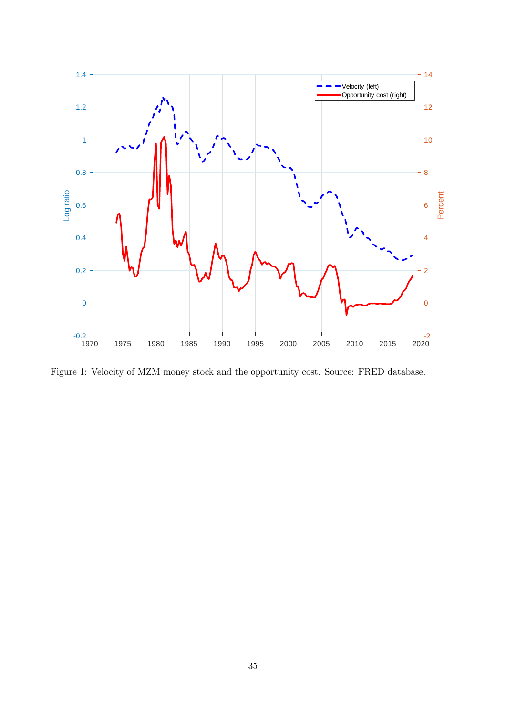

Figure 1: Velocity of MZM money stock and the opportunity cost. Source: FRED database.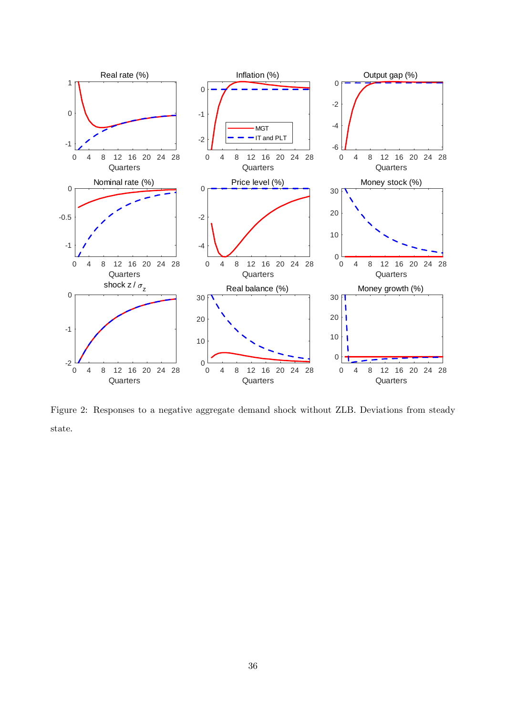

Figure 2: Responses to a negative aggregate demand shock without ZLB. Deviations from steady state.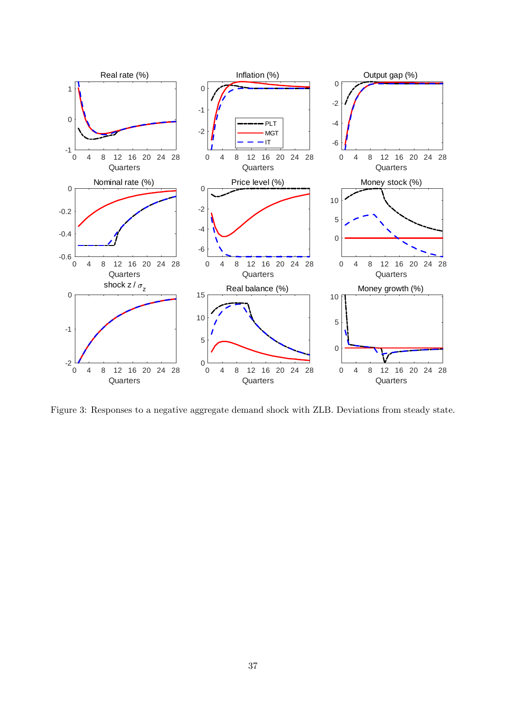

Figure 3: Responses to a negative aggregate demand shock with ZLB. Deviations from steady state.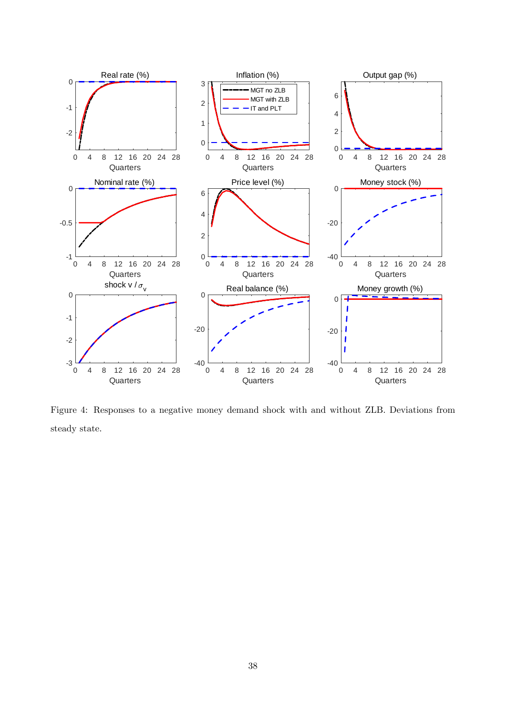

Figure 4: Responses to a negative money demand shock with and without ZLB. Deviations from steady state.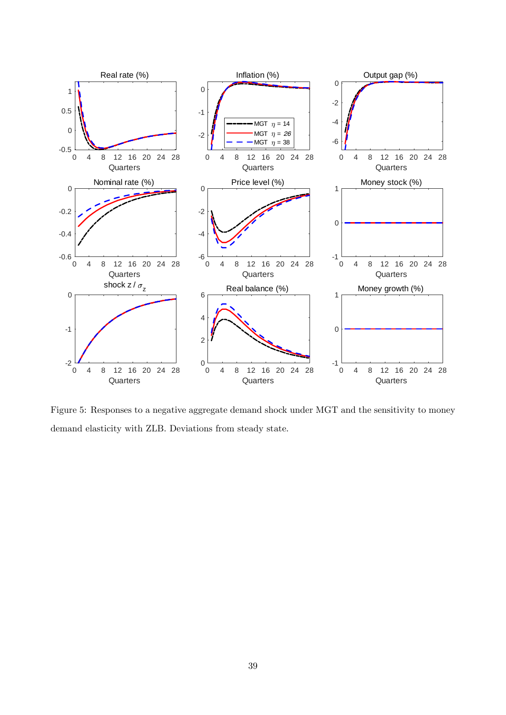

Figure 5: Responses to a negative aggregate demand shock under MGT and the sensitivity to money demand elasticity with ZLB. Deviations from steady state.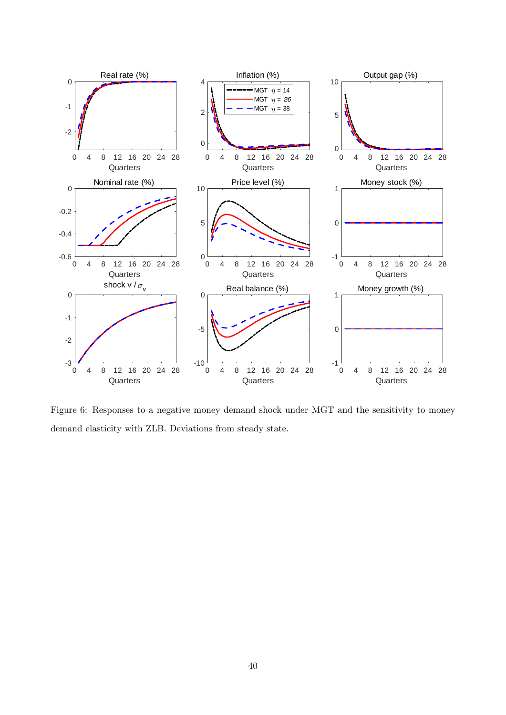

Figure 6: Responses to a negative money demand shock under MGT and the sensitivity to money demand elasticity with ZLB. Deviations from steady state.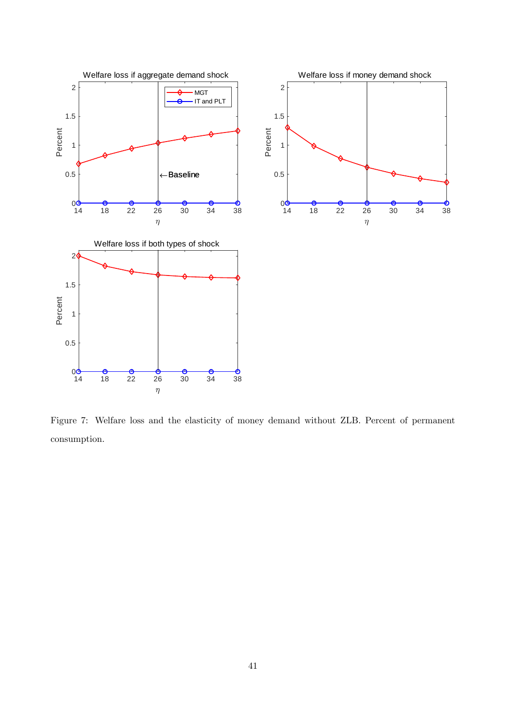

Figure 7: Welfare loss and the elasticity of money demand without ZLB. Percent of permanent consumption.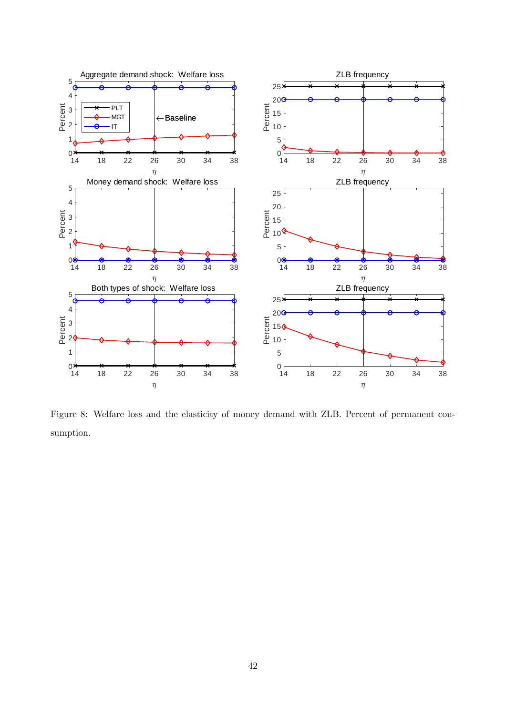

Figure 8: Welfare loss and the elasticity of money demand with ZLB. Percent of permanent consumption.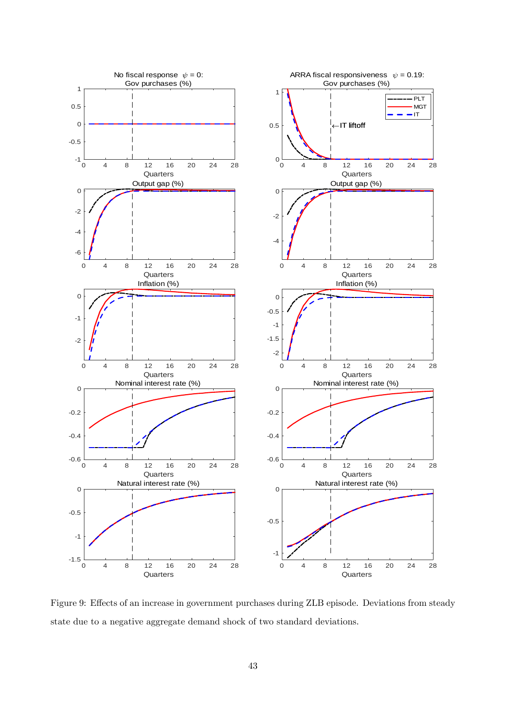

Figure 9: Effects of an increase in government purchases during ZLB episode. Deviations from steady state due to a negative aggregate demand shock of two standard deviations.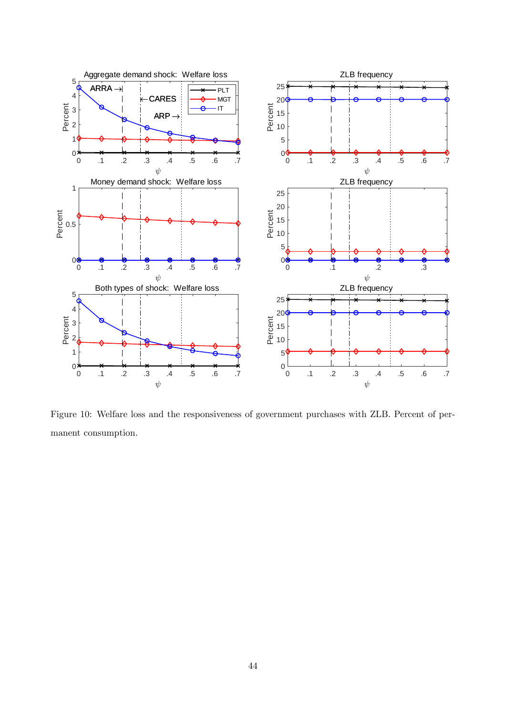

Figure 10: Welfare loss and the responsiveness of government purchases with ZLB. Percent of permanent consumption.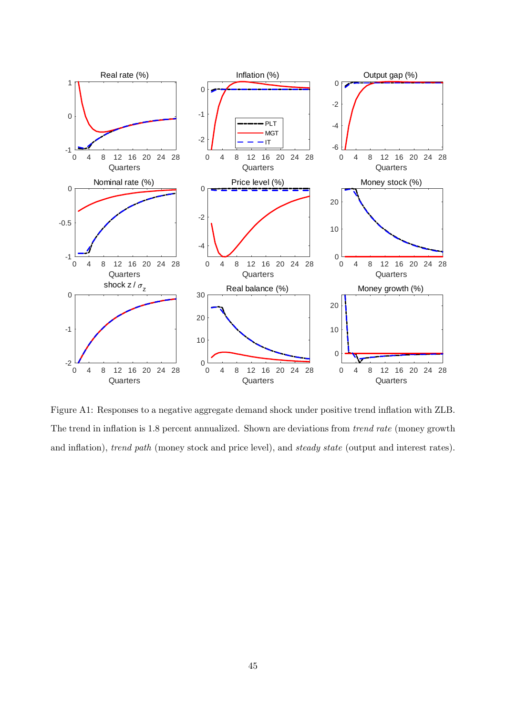

Figure A1: Responses to a negative aggregate demand shock under positive trend inflation with ZLB. The trend in inflation is 1.8 percent annualized. Shown are deviations from *trend rate* (money growth and inflation), trend path (money stock and price level), and steady state (output and interest rates).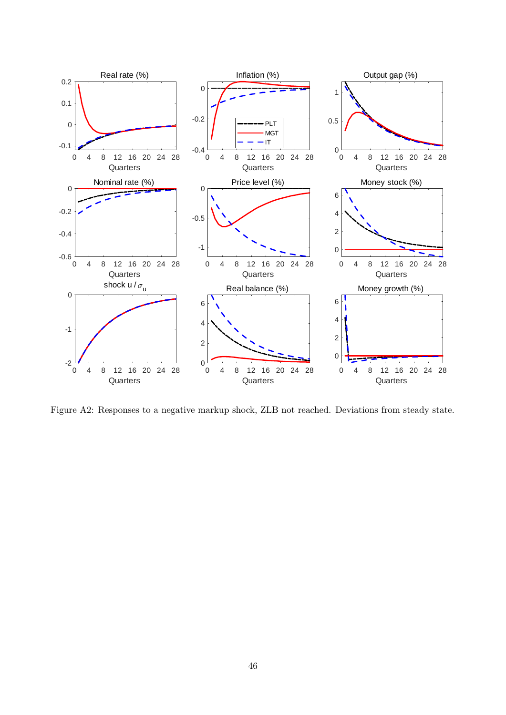

Figure A2: Responses to a negative markup shock, ZLB not reached. Deviations from steady state.